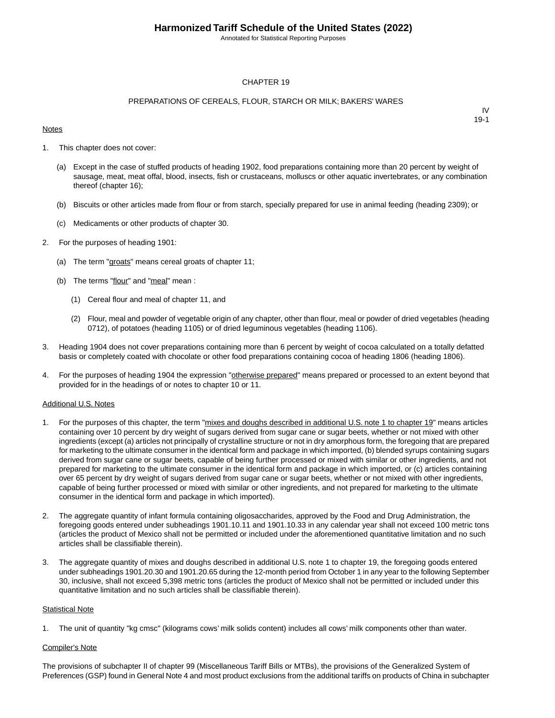Annotated for Statistical Reporting Purposes

#### CHAPTER 19

#### PREPARATIONS OF CEREALS, FLOUR, STARCH OR MILK; BAKERS' WARES

#### **Notes**

IV 19-1

- 1. This chapter does not cover:
	- (a) Except in the case of stuffed products of heading 1902, food preparations containing more than 20 percent by weight of sausage, meat, meat offal, blood, insects, fish or crustaceans, molluscs or other aquatic invertebrates, or any combination thereof (chapter 16);
	- (b) Biscuits or other articles made from flour or from starch, specially prepared for use in animal feeding (heading 2309); or
	- (c) Medicaments or other products of chapter 30.
- 2. For the purposes of heading 1901:
	- (a) The term "groats" means cereal groats of chapter 11;
	- (b) The terms "flour" and "meal" mean :
		- (1) Cereal flour and meal of chapter 11, and
		- (2) Flour, meal and powder of vegetable origin of any chapter, other than flour, meal or powder of dried vegetables (heading 0712), of potatoes (heading 1105) or of dried leguminous vegetables (heading 1106).
- 3. Heading 1904 does not cover preparations containing more than 6 percent by weight of cocoa calculated on a totally defatted basis or completely coated with chocolate or other food preparations containing cocoa of heading 1806 (heading 1806).
- 4. For the purposes of heading 1904 the expression "otherwise prepared" means prepared or processed to an extent beyond that provided for in the headings of or notes to chapter 10 or 11.

#### Additional U.S. Notes

- 1. For the purposes of this chapter, the term "mixes and doughs described in additional U.S. note 1 to chapter 19" means articles containing over 10 percent by dry weight of sugars derived from sugar cane or sugar beets, whether or not mixed with other ingredients (except (a) articles not principally of crystalline structure or not in dry amorphous form, the foregoing that are prepared for marketing to the ultimate consumer in the identical form and package in which imported, (b) blended syrups containing sugars derived from sugar cane or sugar beets, capable of being further processed or mixed with similar or other ingredients, and not prepared for marketing to the ultimate consumer in the identical form and package in which imported, or (c) articles containing over 65 percent by dry weight of sugars derived from sugar cane or sugar beets, whether or not mixed with other ingredients, capable of being further processed or mixed with similar or other ingredients, and not prepared for marketing to the ultimate consumer in the identical form and package in which imported).
- 2. The aggregate quantity of infant formula containing oligosaccharides, approved by the Food and Drug Administration, the foregoing goods entered under subheadings 1901.10.11 and 1901.10.33 in any calendar year shall not exceed 100 metric tons (articles the product of Mexico shall not be permitted or included under the aforementioned quantitative limitation and no such articles shall be classifiable therein).
- 3. The aggregate quantity of mixes and doughs described in additional U.S. note 1 to chapter 19, the foregoing goods entered under subheadings 1901.20.30 and 1901.20.65 during the 12-month period from October 1 in any year to the following September 30, inclusive, shall not exceed 5,398 metric tons (articles the product of Mexico shall not be permitted or included under this quantitative limitation and no such articles shall be classifiable therein).

#### **Statistical Note**

1. The unit of quantity "kg cmsc" (kilograms cows' milk solids content) includes all cows' milk components other than water.

#### Compiler's Note

The provisions of subchapter II of chapter 99 (Miscellaneous Tariff Bills or MTBs), the provisions of the Generalized System of Preferences (GSP) found in General Note 4 and most product exclusions from the additional tariffs on products of China in subchapter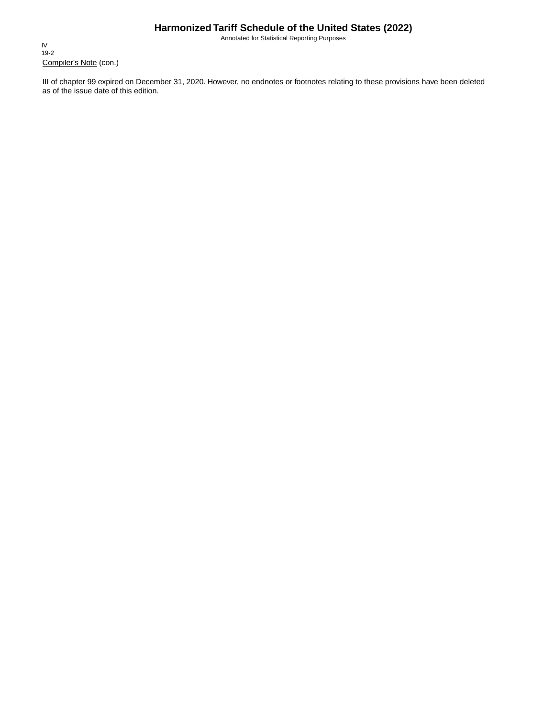Annotated for Statistical Reporting Purposes

Compiler's Note (con.) IV 19-2

III of chapter 99 expired on December 31, 2020. However, no endnotes or footnotes relating to these provisions have been deleted as of the issue date of this edition.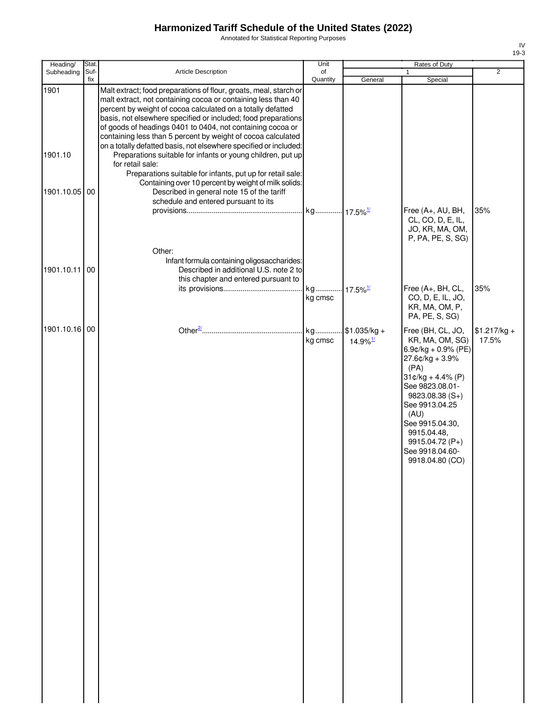Annotated for Statistical Reporting Purposes

| Heading/      | Stat.       |                                                                                                                                                                                                                                                                                                                                                                                                                                                                       | Unit                   |                                         | Rates of Duty                                                                                                                                                                                                                                                                |                        |
|---------------|-------------|-----------------------------------------------------------------------------------------------------------------------------------------------------------------------------------------------------------------------------------------------------------------------------------------------------------------------------------------------------------------------------------------------------------------------------------------------------------------------|------------------------|-----------------------------------------|------------------------------------------------------------------------------------------------------------------------------------------------------------------------------------------------------------------------------------------------------------------------------|------------------------|
| Subheading    | Suf-<br>fix | Article Description                                                                                                                                                                                                                                                                                                                                                                                                                                                   | of<br>Quantity         | General                                 | $\mathbf{1}$<br>Special                                                                                                                                                                                                                                                      | $\overline{2}$         |
| 1901          |             | Malt extract; food preparations of flour, groats, meal, starch or<br>malt extract, not containing cocoa or containing less than 40<br>percent by weight of cocoa calculated on a totally defatted<br>basis, not elsewhere specified or included; food preparations<br>of goods of headings 0401 to 0404, not containing cocoa or<br>containing less than 5 percent by weight of cocoa calculated<br>on a totally defatted basis, not elsewhere specified or included: |                        |                                         |                                                                                                                                                                                                                                                                              |                        |
| 1901.10       |             | Preparations suitable for infants or young children, put up<br>for retail sale:<br>Preparations suitable for infants, put up for retail sale:                                                                                                                                                                                                                                                                                                                         |                        |                                         |                                                                                                                                                                                                                                                                              |                        |
| 1901.10.05 00 |             | Containing over 10 percent by weight of milk solids:<br>Described in general note 15 of the tariff<br>schedule and entered pursuant to its                                                                                                                                                                                                                                                                                                                            |                        |                                         | Free (A+, AU, BH,<br>CL, CO, D, E, IL,                                                                                                                                                                                                                                       | 35%                    |
|               |             | Other:                                                                                                                                                                                                                                                                                                                                                                                                                                                                |                        |                                         | JO, KR, MA, OM,<br>P, PA, PE, S, SG)                                                                                                                                                                                                                                         |                        |
| 1901.10.11 00 |             | Infant formula containing oligosaccharides:<br>Described in additional U.S. note 2 to<br>this chapter and entered pursuant to                                                                                                                                                                                                                                                                                                                                         | kg 17.5% <sup>1/</sup> |                                         | Free (A+, BH, CL,                                                                                                                                                                                                                                                            | 35%                    |
|               |             |                                                                                                                                                                                                                                                                                                                                                                                                                                                                       | kg cmsc                |                                         | CO, D, E, IL, JO,<br>KR, MA, OM, P,<br>PA, PE, S, SG)                                                                                                                                                                                                                        |                        |
| 1901.10.16 00 |             |                                                                                                                                                                                                                                                                                                                                                                                                                                                                       | kg<br>kg cmsc          | $$1.035/kg +$<br>$14.9\%$ <sup>1/</sup> | Free (BH, CL, JO,<br>KR, MA, OM, SG)<br>6.9¢/kg + 0.9% (PE)<br>$27.6$ ¢/kg + 3.9%<br>(PA)<br>$31¢/kg + 4.4% (P)$<br>See 9823.08.01-<br>$9823.08.38(S+)$<br>See 9913.04.25<br>(AU)<br>See 9915.04.30,<br>9915.04.48,<br>9915.04.72 (P+)<br>See 9918.04.60-<br>9918.04.80 (CO) | $$1.217/kg +$<br>17.5% |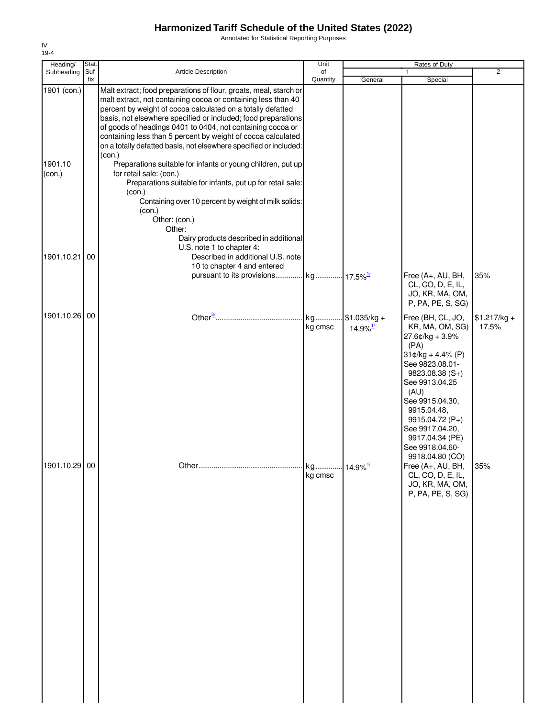Annotated for Statistical Reporting Purposes

| Heading/                         | Stat.       |                                                                                                                                                                                                                                                                                                                                                                                                                                                                                                                                                                                                                                                                                                                                                | Unit                              |                                         | Rates of Duty                                                                                                                                                                                                                                                                            |                        |
|----------------------------------|-------------|------------------------------------------------------------------------------------------------------------------------------------------------------------------------------------------------------------------------------------------------------------------------------------------------------------------------------------------------------------------------------------------------------------------------------------------------------------------------------------------------------------------------------------------------------------------------------------------------------------------------------------------------------------------------------------------------------------------------------------------------|-----------------------------------|-----------------------------------------|------------------------------------------------------------------------------------------------------------------------------------------------------------------------------------------------------------------------------------------------------------------------------------------|------------------------|
| Subheading                       | Suf-<br>fix | Article Description                                                                                                                                                                                                                                                                                                                                                                                                                                                                                                                                                                                                                                                                                                                            | of<br>Quantity                    |                                         |                                                                                                                                                                                                                                                                                          | $\overline{2}$         |
| 1901 (con.)<br>1901.10<br>(con.) |             | Malt extract; food preparations of flour, groats, meal, starch or<br>malt extract, not containing cocoa or containing less than 40<br>percent by weight of cocoa calculated on a totally defatted<br>basis, not elsewhere specified or included; food preparations<br>of goods of headings 0401 to 0404, not containing cocoa or<br>containing less than 5 percent by weight of cocoa calculated<br>on a totally defatted basis, not elsewhere specified or included:<br>(con.)<br>Preparations suitable for infants or young children, put up<br>for retail sale: (con.)<br>Preparations suitable for infants, put up for retail sale:<br>(con.)<br>Containing over 10 percent by weight of milk solids:<br>(con.)<br>Other: (con.)<br>Other: |                                   | General                                 | Special                                                                                                                                                                                                                                                                                  |                        |
| 1901.10.21                       | 00          | Dairy products described in additional<br>U.S. note 1 to chapter 4:<br>Described in additional U.S. note<br>10 to chapter 4 and entered<br>pursuant to its provisions                                                                                                                                                                                                                                                                                                                                                                                                                                                                                                                                                                          | kg 17.5% <sup>1/</sup>            |                                         | Free (A+, AU, BH,<br>CL, CO, D, E, IL,<br>JO, KR, MA, OM,<br>P, PA, PE, S, SG)                                                                                                                                                                                                           | 35%                    |
| 1901.10.26 00                    |             |                                                                                                                                                                                                                                                                                                                                                                                                                                                                                                                                                                                                                                                                                                                                                | kg<br>kg cmsc                     | $$1.035/kg +$<br>$14.9\%$ <sup>1/</sup> | Free (BH, CL, JO,<br>KR, MA, OM, SG)<br>27.6¢/kg + 3.9%<br>(PA)<br>$31¢/kg + 4.4% (P)$<br>See 9823.08.01-<br>$9823.08.38(S+)$<br>See 9913.04.25<br>(AU)<br>See 9915.04.30,<br>9915.04.48,<br>9915.04.72 (P+)<br>See 9917.04.20,<br>9917.04.34 (PE)<br>See 9918.04.60-<br>9918.04.80 (CO) | $$1.217/kg +$<br>17.5% |
| 1901.10.29 00                    |             |                                                                                                                                                                                                                                                                                                                                                                                                                                                                                                                                                                                                                                                                                                                                                | kg 14.9% <sup>1/</sup><br>kg cmsc |                                         | Free (A+, AU, BH,<br>CL, CO, D, E, IL,<br>JO, KR, MA, OM,<br>P, PA, PE, S, SG)                                                                                                                                                                                                           | 35%                    |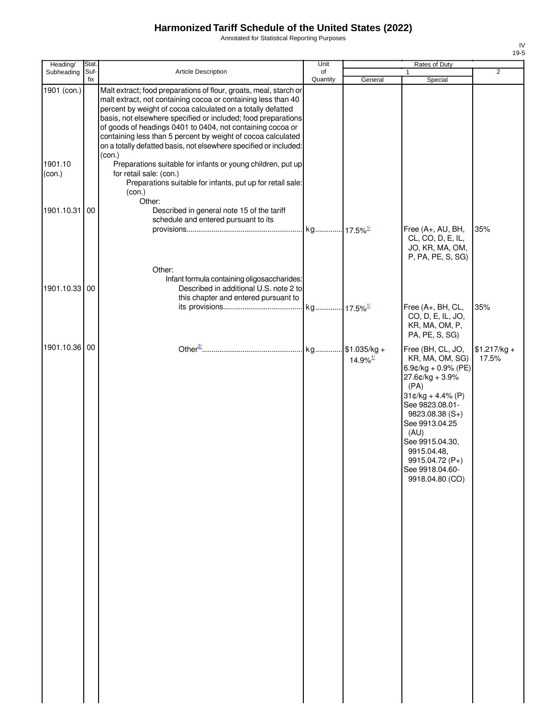Annotated for Statistical Reporting Purposes

| Heading/          | Stat.       |                                                                                                                                                                                                                                                                                                                                                                                                                                                                                 | Unit                   |                                           | Rates of Duty                                                                                                                                                                                                                                                               |                        |
|-------------------|-------------|---------------------------------------------------------------------------------------------------------------------------------------------------------------------------------------------------------------------------------------------------------------------------------------------------------------------------------------------------------------------------------------------------------------------------------------------------------------------------------|------------------------|-------------------------------------------|-----------------------------------------------------------------------------------------------------------------------------------------------------------------------------------------------------------------------------------------------------------------------------|------------------------|
| Subheading        | Suf-<br>fix | <b>Article Description</b>                                                                                                                                                                                                                                                                                                                                                                                                                                                      | of<br>Quantity         | General                                   | 1<br>Special                                                                                                                                                                                                                                                                | 2                      |
| 1901 (con.)       |             | Malt extract; food preparations of flour, groats, meal, starch or<br>malt extract, not containing cocoa or containing less than 40<br>percent by weight of cocoa calculated on a totally defatted<br>basis, not elsewhere specified or included; food preparations<br>of goods of headings 0401 to 0404, not containing cocoa or<br>containing less than 5 percent by weight of cocoa calculated<br>on a totally defatted basis, not elsewhere specified or included:<br>(con.) |                        |                                           |                                                                                                                                                                                                                                                                             |                        |
| 1901.10<br>(con.) |             | Preparations suitable for infants or young children, put up<br>for retail sale: (con.)<br>Preparations suitable for infants, put up for retail sale:<br>(con.)<br>Other:                                                                                                                                                                                                                                                                                                        |                        |                                           |                                                                                                                                                                                                                                                                             |                        |
| 1901.10.31        | 00          | Described in general note 15 of the tariff<br>schedule and entered pursuant to its                                                                                                                                                                                                                                                                                                                                                                                              | kg 17.5% <sup>1/</sup> |                                           | Free (A+, AU, BH,<br>CL, CO, D, E, IL,<br>JO, KR, MA, OM,<br>P, PA, PE, S, SG)                                                                                                                                                                                              | 35%                    |
| 1901.10.33 00     |             | Other:<br>Infant formula containing oligosaccharides:<br>Described in additional U.S. note 2 to<br>this chapter and entered pursuant to                                                                                                                                                                                                                                                                                                                                         |                        |                                           | Free (A+, BH, CL,<br>CO, D, E, IL, JO,                                                                                                                                                                                                                                      | 35%                    |
|                   |             |                                                                                                                                                                                                                                                                                                                                                                                                                                                                                 |                        |                                           | KR, MA, OM, P,<br>PA, PE, S, SG)                                                                                                                                                                                                                                            |                        |
| 1901.10.36 00     |             |                                                                                                                                                                                                                                                                                                                                                                                                                                                                                 | kg                     | $.451.035/kg +$<br>$14.9\%$ <sup>1/</sup> | Free (BH, CL, JO,<br>KR, MA, OM, SG)<br>$6.9$ c/kg + 0.9% (PE)<br>27.6¢/kg + 3.9%<br>(PA)<br>$31¢/kg + 4.4% (P)$<br>See 9823.08.01-<br>9823.08.38 (S+)<br>See 9913.04.25<br>(AU)<br>See 9915.04.30,<br>9915.04.48,<br>9915.04.72 (P+)<br>See 9918.04.60-<br>9918.04.80 (CO) | $$1.217/kg +$<br>17.5% |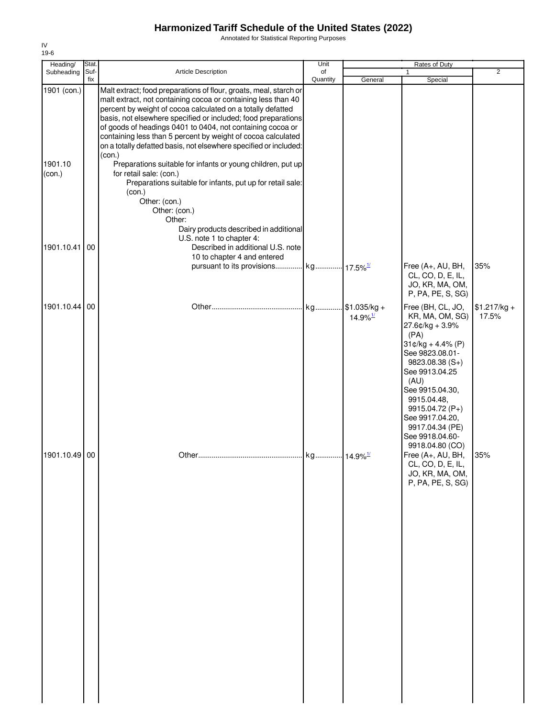Annotated for Statistical Reporting Purposes

| Heading/                         | Stat.       |                                                                                                                                                                                                                                                                                                                                                                                                                                                                                                                                                                                                                                                                                                                                         | Unit           |                                         | Rates of Duty                                                                                                                                                                                                                                                         |                        |
|----------------------------------|-------------|-----------------------------------------------------------------------------------------------------------------------------------------------------------------------------------------------------------------------------------------------------------------------------------------------------------------------------------------------------------------------------------------------------------------------------------------------------------------------------------------------------------------------------------------------------------------------------------------------------------------------------------------------------------------------------------------------------------------------------------------|----------------|-----------------------------------------|-----------------------------------------------------------------------------------------------------------------------------------------------------------------------------------------------------------------------------------------------------------------------|------------------------|
| Subheading                       | Suf-<br>fix | Article Description                                                                                                                                                                                                                                                                                                                                                                                                                                                                                                                                                                                                                                                                                                                     | of<br>Quantity | General                                 | 1<br>Special                                                                                                                                                                                                                                                          | $\overline{2}$         |
| 1901 (con.)<br>1901.10<br>(con.) |             | Malt extract; food preparations of flour, groats, meal, starch or<br>malt extract, not containing cocoa or containing less than 40<br>percent by weight of cocoa calculated on a totally defatted<br>basis, not elsewhere specified or included; food preparations<br>of goods of headings 0401 to 0404, not containing cocoa or<br>containing less than 5 percent by weight of cocoa calculated<br>on a totally defatted basis, not elsewhere specified or included:<br>(con.)<br>Preparations suitable for infants or young children, put up<br>for retail sale: (con.)<br>Preparations suitable for infants, put up for retail sale:<br>(con.)<br>Other: (con.)<br>Other: (con.)<br>Other:<br>Dairy products described in additional |                |                                         |                                                                                                                                                                                                                                                                       |                        |
| 1901.10.41                       | 00          | U.S. note 1 to chapter 4:<br>Described in additional U.S. note                                                                                                                                                                                                                                                                                                                                                                                                                                                                                                                                                                                                                                                                          |                |                                         |                                                                                                                                                                                                                                                                       |                        |
|                                  |             | 10 to chapter 4 and entered                                                                                                                                                                                                                                                                                                                                                                                                                                                                                                                                                                                                                                                                                                             |                |                                         |                                                                                                                                                                                                                                                                       |                        |
|                                  |             | pursuant to its provisions kg 17.5% <sup>1/</sup>                                                                                                                                                                                                                                                                                                                                                                                                                                                                                                                                                                                                                                                                                       |                |                                         | Free (A+, AU, BH,<br>CL, CO, D, E, IL,<br>JO, KR, MA, OM,<br>P, PA, PE, S, SG)                                                                                                                                                                                        | 35%                    |
| 1901.10.44 00                    |             |                                                                                                                                                                                                                                                                                                                                                                                                                                                                                                                                                                                                                                                                                                                                         | kg             | $$1.035/kg +$<br>$14.9\%$ <sup>1/</sup> | Free (BH, CL, JO,<br>KR, MA, OM, SG)<br>27.6¢/kg + 3.9%<br>(PA)<br>$31¢/kg + 4.4% (P)$<br>See 9823.08.01-<br>$9823.08.38(S+)$<br>See 9913.04.25<br>(AU)<br>See 9915.04.30,<br>9915.04.48,<br>9915.04.72 (P+)<br>See 9917.04.20,<br>9917.04.34 (PE)<br>See 9918.04.60- | $$1.217/kg +$<br>17.5% |
| 1901.10.49 00                    |             |                                                                                                                                                                                                                                                                                                                                                                                                                                                                                                                                                                                                                                                                                                                                         |                |                                         | 9918.04.80 (CO)<br>Free (A+, AU, BH,<br>CL, CO, D, E, IL,<br>JO, KR, MA, OM,<br>P, PA, PE, S, SG)                                                                                                                                                                     | 35%                    |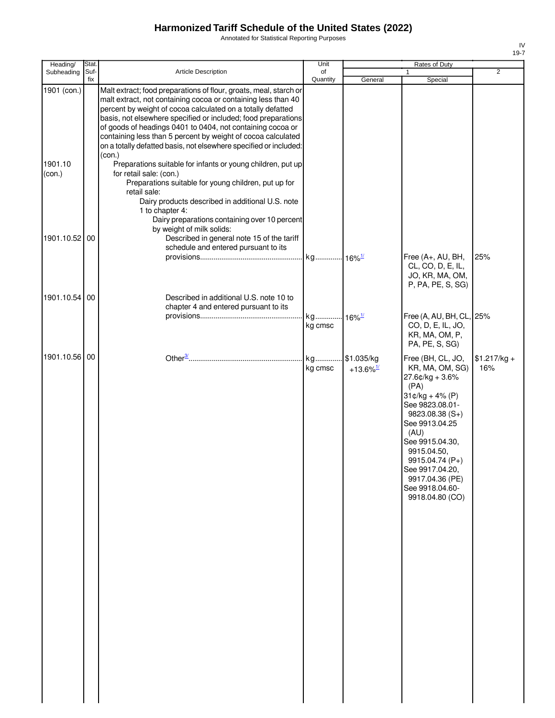Annotated for Statistical Reporting Purposes

| Heading/                                          | Stat.       |                                                                                                                                                                                                                                                                                                                                                                                                                                                                                                                                                                                                                                                                                                                                                                                                                                                      | Unit                            |                                        | <b>Rates of Duty</b>                                                                                                                                                                                                                                                                  |                      |
|---------------------------------------------------|-------------|------------------------------------------------------------------------------------------------------------------------------------------------------------------------------------------------------------------------------------------------------------------------------------------------------------------------------------------------------------------------------------------------------------------------------------------------------------------------------------------------------------------------------------------------------------------------------------------------------------------------------------------------------------------------------------------------------------------------------------------------------------------------------------------------------------------------------------------------------|---------------------------------|----------------------------------------|---------------------------------------------------------------------------------------------------------------------------------------------------------------------------------------------------------------------------------------------------------------------------------------|----------------------|
| Subheading                                        | Suf-<br>fix | Article Description                                                                                                                                                                                                                                                                                                                                                                                                                                                                                                                                                                                                                                                                                                                                                                                                                                  | of<br>Quantity                  | General                                | $\mathbf{1}$<br>Special                                                                                                                                                                                                                                                               | $\overline{2}$       |
| 1901 (con.)<br>1901.10<br>(con.)<br>1901.10.52 00 |             | Malt extract; food preparations of flour, groats, meal, starch or<br>malt extract, not containing cocoa or containing less than 40<br>percent by weight of cocoa calculated on a totally defatted<br>basis, not elsewhere specified or included; food preparations<br>of goods of headings 0401 to 0404, not containing cocoa or<br>containing less than 5 percent by weight of cocoa calculated<br>on a totally defatted basis, not elsewhere specified or included:<br>(con.)<br>Preparations suitable for infants or young children, put up<br>for retail sale: (con.)<br>Preparations suitable for young children, put up for<br>retail sale:<br>Dairy products described in additional U.S. note<br>1 to chapter 4:<br>Dairy preparations containing over 10 percent<br>by weight of milk solids:<br>Described in general note 15 of the tariff |                                 |                                        |                                                                                                                                                                                                                                                                                       |                      |
|                                                   |             | schedule and entered pursuant to its                                                                                                                                                                                                                                                                                                                                                                                                                                                                                                                                                                                                                                                                                                                                                                                                                 |                                 |                                        | Free (A+, AU, BH,<br>CL, CO, D, E, IL,<br>JO, KR, MA, OM,<br>P, PA, PE, S, SG)                                                                                                                                                                                                        | 25%                  |
| 1901.10.54 00                                     |             | Described in additional U.S. note 10 to<br>chapter 4 and entered pursuant to its                                                                                                                                                                                                                                                                                                                                                                                                                                                                                                                                                                                                                                                                                                                                                                     | kg 16% <sup>1/</sup><br>kg cmsc |                                        | Free (A, AU, BH, CL, 25%<br>CO, D, E, IL, JO,<br>KR, MA, OM, P,<br>PA, PE, S, SG)                                                                                                                                                                                                     |                      |
| 1901.10.56 00                                     |             |                                                                                                                                                                                                                                                                                                                                                                                                                                                                                                                                                                                                                                                                                                                                                                                                                                                      | kg<br>kg cmsc                   | .\$1.035/kg<br>$+13.6\%$ <sup>1/</sup> | Free (BH, CL, JO,<br>KR, MA, OM, SG)<br>27.6¢/kg + 3.6%<br>(PA)<br>$31¢/kg + 4% (P)$<br>See 9823.08.01-<br>9823.08.38 (S+)<br>See 9913.04.25<br>(AU)<br>See 9915.04.30,<br>9915.04.50,<br>9915.04.74 (P+)<br>See 9917.04.20,<br>9917.04.36 (PE)<br>See 9918.04.60-<br>9918.04.80 (CO) | $$1.217/kg +$<br>16% |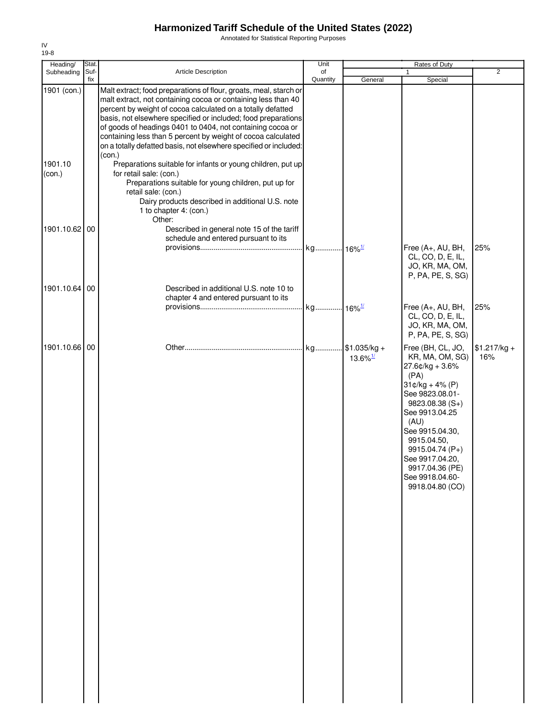Annotated for Statistical Reporting Purposes

| Heading/               | Stat.       |                                                                                                                                                                                                                                                                                                                                                                                                                                                                                                                                                | Unit           |                                              | Rates of Duty                                                                                                                                                                                                                                                                                |                      |
|------------------------|-------------|------------------------------------------------------------------------------------------------------------------------------------------------------------------------------------------------------------------------------------------------------------------------------------------------------------------------------------------------------------------------------------------------------------------------------------------------------------------------------------------------------------------------------------------------|----------------|----------------------------------------------|----------------------------------------------------------------------------------------------------------------------------------------------------------------------------------------------------------------------------------------------------------------------------------------------|----------------------|
| Subheading             | Suf-<br>fix | Article Description                                                                                                                                                                                                                                                                                                                                                                                                                                                                                                                            | of<br>Quantity | General                                      | 1<br>Special                                                                                                                                                                                                                                                                                 | $\overline{2}$       |
| 1901 (con.)<br>1901.10 |             | Malt extract; food preparations of flour, groats, meal, starch or<br>malt extract, not containing cocoa or containing less than 40<br>percent by weight of cocoa calculated on a totally defatted<br>basis, not elsewhere specified or included; food preparations<br>of goods of headings 0401 to 0404, not containing cocoa or<br>containing less than 5 percent by weight of cocoa calculated<br>on a totally defatted basis, not elsewhere specified or included:<br>(con.)<br>Preparations suitable for infants or young children, put up |                |                                              |                                                                                                                                                                                                                                                                                              |                      |
| (con.)                 |             | for retail sale: (con.)<br>Preparations suitable for young children, put up for<br>retail sale: (con.)<br>Dairy products described in additional U.S. note<br>1 to chapter 4: (con.)<br>Other:                                                                                                                                                                                                                                                                                                                                                 |                |                                              |                                                                                                                                                                                                                                                                                              |                      |
| 1901.10.62 00          |             | Described in general note 15 of the tariff<br>schedule and entered pursuant to its                                                                                                                                                                                                                                                                                                                                                                                                                                                             |                |                                              | Free (A+, AU, BH,<br>CL, CO, D, E, IL,                                                                                                                                                                                                                                                       | 25%                  |
| 1901.10.64             | 00          | Described in additional U.S. note 10 to<br>chapter 4 and entered pursuant to its                                                                                                                                                                                                                                                                                                                                                                                                                                                               |                |                                              | JO, KR, MA, OM,<br>P, PA, PE, S, SG)                                                                                                                                                                                                                                                         |                      |
|                        |             |                                                                                                                                                                                                                                                                                                                                                                                                                                                                                                                                                |                |                                              | Free (A+, AU, BH,<br>CL, CO, D, E, IL,<br>JO, KR, MA, OM,<br>P, PA, PE, S, SG)                                                                                                                                                                                                               | 25%                  |
| 1901.10.66 00          |             |                                                                                                                                                                                                                                                                                                                                                                                                                                                                                                                                                |                | $13.6\%$ <sup><math>\frac{1}{2}</math></sup> | Free (BH, CL, JO,<br>KR, MA, OM, SG)<br>$27.6$ ¢/kg + $3.6\%$<br>(PA)<br>$31¢/kg + 4% (P)$<br>See 9823.08.01-<br>$9823.08.38(S+)$<br>See 9913.04.25<br>(AU)<br>See 9915.04.30,<br>9915.04.50,<br>9915.04.74 (P+)<br>See 9917.04.20,<br>9917.04.36 (PE)<br>See 9918.04.60-<br>9918.04.80 (CO) | $$1.217/kg +$<br>16% |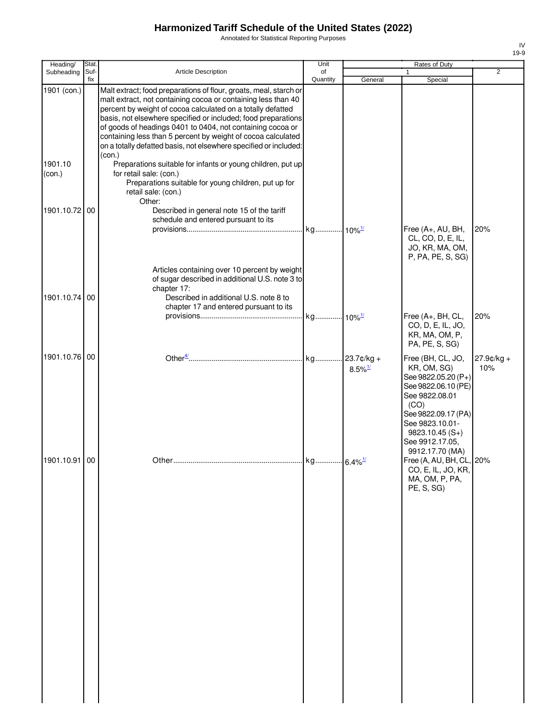Annotated for Statistical Reporting Purposes

| Heading/                         | Stat. |                                                                                                                                                                                                                                                                                                                                                                                                                                                                                                                                                                           | Unit                 |                                        | Rates of Duty                                                                                                                                               |                      |
|----------------------------------|-------|---------------------------------------------------------------------------------------------------------------------------------------------------------------------------------------------------------------------------------------------------------------------------------------------------------------------------------------------------------------------------------------------------------------------------------------------------------------------------------------------------------------------------------------------------------------------------|----------------------|----------------------------------------|-------------------------------------------------------------------------------------------------------------------------------------------------------------|----------------------|
| Subheading                       | Suf-  | Article Description                                                                                                                                                                                                                                                                                                                                                                                                                                                                                                                                                       | of                   |                                        |                                                                                                                                                             | 2                    |
| 1901 (con.)<br>1901.10<br>(con.) | fix   | Malt extract; food preparations of flour, groats, meal, starch or<br>malt extract, not containing cocoa or containing less than 40<br>percent by weight of cocoa calculated on a totally defatted<br>basis, not elsewhere specified or included; food preparations<br>of goods of headings 0401 to 0404, not containing cocoa or<br>containing less than 5 percent by weight of cocoa calculated<br>on a totally defatted basis, not elsewhere specified or included:<br>(con.)<br>Preparations suitable for infants or young children, put up<br>for retail sale: (con.) | Quantity             | General                                | Special                                                                                                                                                     |                      |
|                                  |       | Preparations suitable for young children, put up for<br>retail sale: (con.)<br>Other:                                                                                                                                                                                                                                                                                                                                                                                                                                                                                     |                      |                                        |                                                                                                                                                             |                      |
| 1901.10.72                       | 00    | Described in general note 15 of the tariff<br>schedule and entered pursuant to its                                                                                                                                                                                                                                                                                                                                                                                                                                                                                        | kg 10% <sup>1/</sup> |                                        | Free (A+, AU, BH,<br>CL, CO, D, E, IL,<br>JO, KR, MA, OM,<br>P, PA, PE, S, SG)                                                                              | 20%                  |
| 1901.10.74                       | 00    | Articles containing over 10 percent by weight<br>of sugar described in additional U.S. note 3 to<br>chapter 17:<br>Described in additional U.S. note 8 to<br>chapter 17 and entered pursuant to its                                                                                                                                                                                                                                                                                                                                                                       |                      |                                        | Free (A+, BH, CL,<br>CO, D, E, IL, JO,<br>KR, MA, OM, P,                                                                                                    | 20%                  |
| 1901.10.76 00                    |       |                                                                                                                                                                                                                                                                                                                                                                                                                                                                                                                                                                           |                      | $23.7$ ¢/kg +<br>$8.5\%$ <sup>1/</sup> | PA, PE, S, SG)<br>Free (BH, CL, JO,<br>KR, OM, SG)<br>See 9822.05.20 (P+)<br>See 9822.06.10 (PE)<br>See 9822.08.01<br>(CO)<br>See 9822.09.17 (PA)           | $27.9$ ¢/kg +<br>10% |
| 1901.10.91 00                    |       |                                                                                                                                                                                                                                                                                                                                                                                                                                                                                                                                                                           |                      |                                        | See 9823.10.01-<br>$9823.10.45(S+)$<br>See 9912.17.05,<br>9912.17.70 (MA)<br>Free (A, AU, BH, CL, 20%<br>CO, E, IL, JO, KR,<br>MA, OM, P, PA,<br>PE, S, SG) |                      |
|                                  |       |                                                                                                                                                                                                                                                                                                                                                                                                                                                                                                                                                                           |                      |                                        |                                                                                                                                                             |                      |
|                                  |       |                                                                                                                                                                                                                                                                                                                                                                                                                                                                                                                                                                           |                      |                                        |                                                                                                                                                             |                      |
|                                  |       |                                                                                                                                                                                                                                                                                                                                                                                                                                                                                                                                                                           |                      |                                        |                                                                                                                                                             |                      |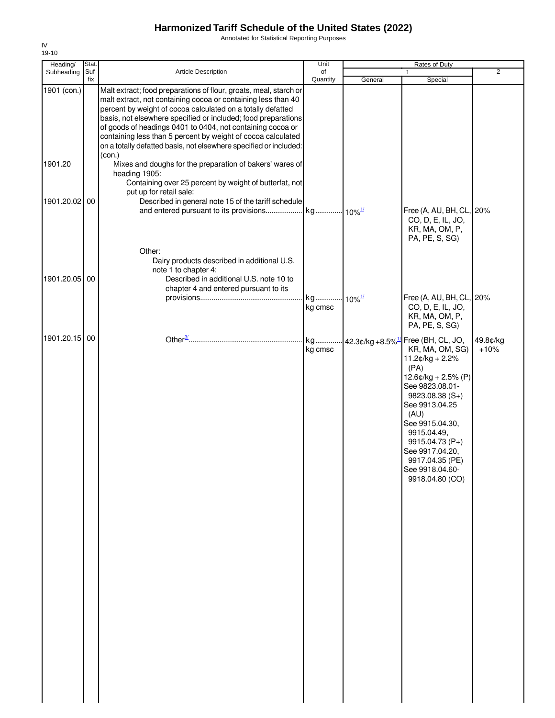Annotated for Statistical Reporting Purposes

| Heading/      | Stat.       |                                                                                                                                                                                                                                                                                                                                                                                                                                                                       | Unit           |                       | Rates of Duty                                                                                                                                                                                                                                                                                                             |                    |
|---------------|-------------|-----------------------------------------------------------------------------------------------------------------------------------------------------------------------------------------------------------------------------------------------------------------------------------------------------------------------------------------------------------------------------------------------------------------------------------------------------------------------|----------------|-----------------------|---------------------------------------------------------------------------------------------------------------------------------------------------------------------------------------------------------------------------------------------------------------------------------------------------------------------------|--------------------|
| Subheading    | Suf-<br>fix | Article Description                                                                                                                                                                                                                                                                                                                                                                                                                                                   | of<br>Quantity | General               | Special                                                                                                                                                                                                                                                                                                                   | $\overline{2}$     |
| 1901 (con.)   |             | Malt extract; food preparations of flour, groats, meal, starch or<br>malt extract, not containing cocoa or containing less than 40<br>percent by weight of cocoa calculated on a totally defatted<br>basis, not elsewhere specified or included; food preparations<br>of goods of headings 0401 to 0404, not containing cocoa or<br>containing less than 5 percent by weight of cocoa calculated<br>on a totally defatted basis, not elsewhere specified or included: |                |                       |                                                                                                                                                                                                                                                                                                                           |                    |
| 1901.20       |             | (con.)<br>Mixes and doughs for the preparation of bakers' wares of<br>heading 1905:<br>Containing over 25 percent by weight of butterfat, not                                                                                                                                                                                                                                                                                                                         |                |                       |                                                                                                                                                                                                                                                                                                                           |                    |
| 1901.20.02    | 00          | put up for retail sale:<br>Described in general note 15 of the tariff schedule                                                                                                                                                                                                                                                                                                                                                                                        |                |                       | Free (A, AU, BH, CL, 20%<br>CO, D, E, IL, JO,                                                                                                                                                                                                                                                                             |                    |
| 1901.20.05 00 |             | Other:<br>Dairy products described in additional U.S.<br>note 1 to chapter 4:<br>Described in additional U.S. note 10 to<br>chapter 4 and entered pursuant to its                                                                                                                                                                                                                                                                                                     | kg<br>kg cmsc  | $-10\%$ <sup>1/</sup> | KR, MA, OM, P,<br>PA, PE, S, SG)<br>Free (A, AU, BH, CL, 20%<br>CO, D, E, IL, JO,<br>KR, MA, OM, P,<br>PA, PE, S, SG)                                                                                                                                                                                                     |                    |
| 1901.20.15 00 |             |                                                                                                                                                                                                                                                                                                                                                                                                                                                                       | kg<br>kg cmsc  |                       | 42.3¢/kg +8.5% <sup>1/</sup> Free (BH, CL, JO,<br>KR, MA, OM, SG)<br>$11.2¢/kg + 2.2%$<br>(PA)<br>$12.6$ ¢/kg + 2.5% (P)<br>See 9823.08.01-<br>9823.08.38 (S+)<br>See 9913.04.25<br>(AU)<br>See 9915.04.30,<br>9915.04.49,<br>9915.04.73 (P+)<br>See 9917.04.20,<br>9917.04.35 (PE)<br>See 9918.04.60-<br>9918.04.80 (CO) | 49.8¢/kg<br>$+10%$ |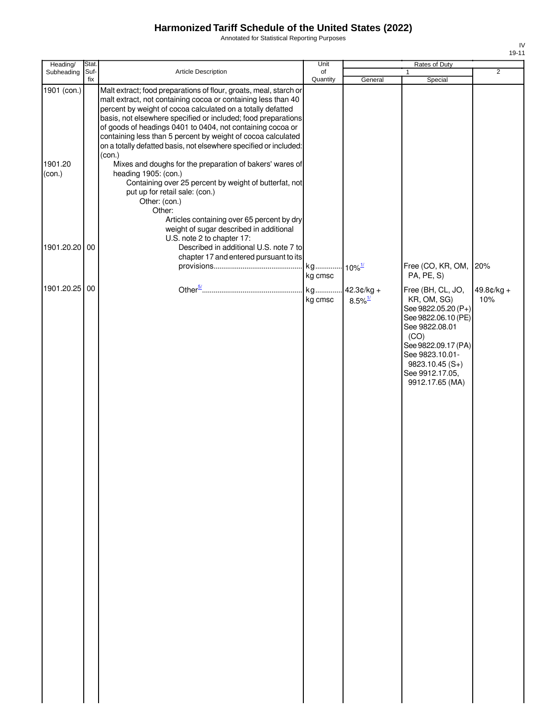Annotated for Statistical Reporting Purposes

| ۰, |  |
|----|--|

| Heading/          | Stat.                                                                                                                                                                                                                                                                                                                                                                                                                                                                           | Unit           |                                       | Rates of Duty                                                                                                                                                                                                | $\overline{2}$    |
|-------------------|---------------------------------------------------------------------------------------------------------------------------------------------------------------------------------------------------------------------------------------------------------------------------------------------------------------------------------------------------------------------------------------------------------------------------------------------------------------------------------|----------------|---------------------------------------|--------------------------------------------------------------------------------------------------------------------------------------------------------------------------------------------------------------|-------------------|
| Subheading        | Suf-<br>Article Description<br>fix                                                                                                                                                                                                                                                                                                                                                                                                                                              | of<br>Quantity | General                               | 1<br>Special                                                                                                                                                                                                 |                   |
| 1901 (con.)       | Malt extract; food preparations of flour, groats, meal, starch or<br>malt extract, not containing cocoa or containing less than 40<br>percent by weight of cocoa calculated on a totally defatted<br>basis, not elsewhere specified or included; food preparations<br>of goods of headings 0401 to 0404, not containing cocoa or<br>containing less than 5 percent by weight of cocoa calculated<br>on a totally defatted basis, not elsewhere specified or included:<br>(con.) |                |                                       |                                                                                                                                                                                                              |                   |
| 1901.20<br>(con.) | Mixes and doughs for the preparation of bakers' wares of<br>heading 1905: (con.)<br>Containing over 25 percent by weight of butterfat, not<br>put up for retail sale: (con.)<br>Other: (con.)<br>Other:<br>Articles containing over 65 percent by dry<br>weight of sugar described in additional<br>U.S. note 2 to chapter 17:                                                                                                                                                  |                |                                       |                                                                                                                                                                                                              |                   |
| 1901.20.20 00     | Described in additional U.S. note 7 to<br>chapter 17 and entered pursuant to its                                                                                                                                                                                                                                                                                                                                                                                                | kg cmsc        | $10\%$ <sup>1/</sup>                  | Free (CO, KR, OM, 20%<br>PA, PE, S)                                                                                                                                                                          |                   |
| 1901.20.25 00     |                                                                                                                                                                                                                                                                                                                                                                                                                                                                                 | kg cmsc        | $42.3¢/kg +$<br>$8.5\%$ <sup>1/</sup> | Free (BH, CL, JO,<br>KR, OM, SG)<br>See 9822.05.20 (P+)<br>See 9822.06.10 (PE)<br>See 9822.08.01<br>(CO)<br>See 9822.09.17 (PA)<br>See 9823.10.01-<br>$9823.10.45(S+)$<br>See 9912.17.05,<br>9912.17.65 (MA) | 49.8¢/kg +<br>10% |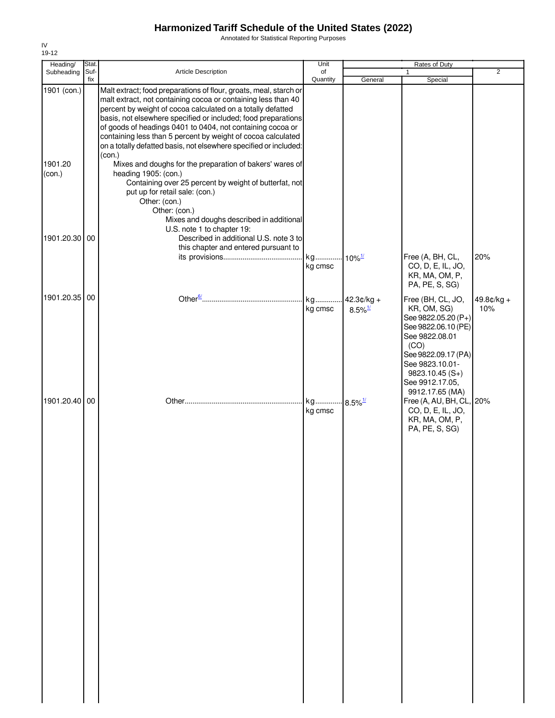Annotated for Statistical Reporting Purposes

| Heading/                         | Stat.       |                                                                                                                                                                                                                                                                                                                                                                                                                                                                                                                                                                                                                                                                                  | Unit                             |                                       | Rates of Duty                                                                                                                                                                             |                   |
|----------------------------------|-------------|----------------------------------------------------------------------------------------------------------------------------------------------------------------------------------------------------------------------------------------------------------------------------------------------------------------------------------------------------------------------------------------------------------------------------------------------------------------------------------------------------------------------------------------------------------------------------------------------------------------------------------------------------------------------------------|----------------------------------|---------------------------------------|-------------------------------------------------------------------------------------------------------------------------------------------------------------------------------------------|-------------------|
| Subheading                       | Suf-<br>fix | Article Description                                                                                                                                                                                                                                                                                                                                                                                                                                                                                                                                                                                                                                                              | of<br>Quantity                   | General                               |                                                                                                                                                                                           | $\overline{2}$    |
| 1901 (con.)<br>1901.20<br>(con.) |             | Malt extract; food preparations of flour, groats, meal, starch or<br>malt extract, not containing cocoa or containing less than 40<br>percent by weight of cocoa calculated on a totally defatted<br>basis, not elsewhere specified or included; food preparations<br>of goods of headings 0401 to 0404, not containing cocoa or<br>containing less than 5 percent by weight of cocoa calculated<br>on a totally defatted basis, not elsewhere specified or included:<br>(con.)<br>Mixes and doughs for the preparation of bakers' wares of<br>heading 1905: (con.)<br>Containing over 25 percent by weight of butterfat, not<br>put up for retail sale: (con.)<br>Other: (con.) |                                  |                                       | Special                                                                                                                                                                                   |                   |
| 1901.20.30 00                    |             | Other: (con.)<br>Mixes and doughs described in additional<br>U.S. note 1 to chapter 19:<br>Described in additional U.S. note 3 to<br>this chapter and entered pursuant to                                                                                                                                                                                                                                                                                                                                                                                                                                                                                                        | kg cmsc                          |                                       | Free (A, BH, CL,<br>CO, D, E, IL, JO,<br>KR, MA, OM, P,<br>PA, PE, S, SG)                                                                                                                 | 20%               |
| 1901.20.35 00                    |             |                                                                                                                                                                                                                                                                                                                                                                                                                                                                                                                                                                                                                                                                                  | kg<br>kg cmsc                    | $42.3¢/kg +$<br>$8.5\%$ <sup>1/</sup> | Free (BH, CL, JO,<br>KR, OM, SG)<br>See 9822.05.20 (P+)<br>See 9822.06.10 (PE)<br>See 9822.08.01<br>(CO)<br>See 9822.09.17 (PA)<br>See 9823.10.01-<br>$9823.10.45(S+)$<br>See 9912.17.05, | 49.8¢/kg +<br>10% |
| 1901.20.40 00                    |             |                                                                                                                                                                                                                                                                                                                                                                                                                                                                                                                                                                                                                                                                                  | kg 8.5% <sup>1/</sup><br>kg cmsc |                                       | 9912.17.65 (MA)<br>Free (A, AU, BH, CL, 20%<br>CO, D, E, IL, JO,<br>KR, MA, OM, P,<br>PA, PE, S, SG)                                                                                      |                   |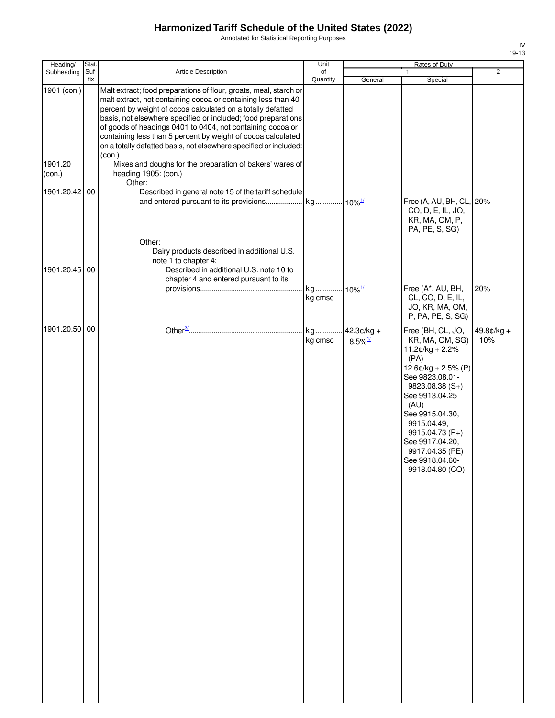Annotated for Statistical Reporting Purposes

| Heading/                                          | Stat.       |                                                                                                                                                                                                                                                                                                                                                                                                                                                                                                                                                                                                                                      | Unit                            |                                        | Rates of Duty                                                                                                                                                                                                                                                                              |                     |
|---------------------------------------------------|-------------|--------------------------------------------------------------------------------------------------------------------------------------------------------------------------------------------------------------------------------------------------------------------------------------------------------------------------------------------------------------------------------------------------------------------------------------------------------------------------------------------------------------------------------------------------------------------------------------------------------------------------------------|---------------------------------|----------------------------------------|--------------------------------------------------------------------------------------------------------------------------------------------------------------------------------------------------------------------------------------------------------------------------------------------|---------------------|
| Subheading                                        | Suf-<br>fix | Article Description                                                                                                                                                                                                                                                                                                                                                                                                                                                                                                                                                                                                                  | of<br>Quantity                  | General                                | 1<br>Special                                                                                                                                                                                                                                                                               | 2                   |
| 1901 (con.)<br>1901.20<br>(con.)<br>1901.20.42 00 |             | Malt extract; food preparations of flour, groats, meal, starch or<br>malt extract, not containing cocoa or containing less than 40<br>percent by weight of cocoa calculated on a totally defatted<br>basis, not elsewhere specified or included; food preparations<br>of goods of headings 0401 to 0404, not containing cocoa or<br>containing less than 5 percent by weight of cocoa calculated<br>on a totally defatted basis, not elsewhere specified or included:<br>(con.)<br>Mixes and doughs for the preparation of bakers' wares of<br>heading 1905: (con.)<br>Other:<br>Described in general note 15 of the tariff schedule |                                 |                                        |                                                                                                                                                                                                                                                                                            |                     |
| 1901.20.45 00                                     |             | Other:<br>Dairy products described in additional U.S.<br>note 1 to chapter 4:<br>Described in additional U.S. note 10 to<br>chapter 4 and entered pursuant to its                                                                                                                                                                                                                                                                                                                                                                                                                                                                    |                                 |                                        | Free (A, AU, BH, CL, 20%<br>CO, D, E, IL, JO,<br>KR, MA, OM, P,<br>PA, PE, S, SG)                                                                                                                                                                                                          |                     |
|                                                   |             |                                                                                                                                                                                                                                                                                                                                                                                                                                                                                                                                                                                                                                      | kg 10% <sup>1/</sup><br>kg cmsc |                                        | Free (A*, AU, BH,<br>CL, CO, D, E, IL,<br>JO, KR, MA, OM,<br>P, PA, PE, S, SG)                                                                                                                                                                                                             | 20%                 |
| 1901.20.50 00                                     |             |                                                                                                                                                                                                                                                                                                                                                                                                                                                                                                                                                                                                                                      | kg cmsc                         | kg 42.3¢/kg +<br>$8.5\%$ <sup>1/</sup> | Free (BH, CL, JO,<br>KR, MA, OM, SG)<br>$11.2¢/kg + 2.2%$<br>(PA)<br>12.6¢/kg + 2.5% (P)<br>See 9823.08.01-<br>$9823.08.38(S+)$<br>See 9913.04.25<br>(AU)<br>See 9915.04.30,<br>9915.04.49,<br>9915.04.73 (P+)<br>See 9917.04.20,<br>9917.04.35 (PE)<br>See 9918.04.60-<br>9918.04.80 (CO) | $49.8¢/kg +$<br>10% |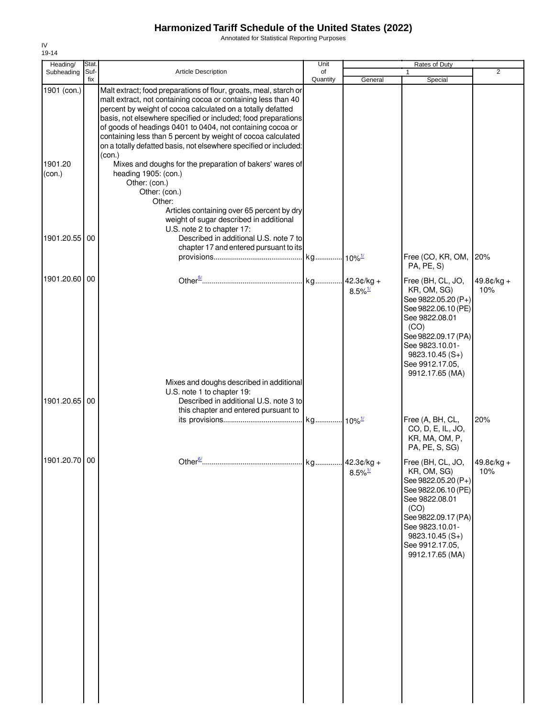Annotated for Statistical Reporting Purposes

| Heading/                         | Stat.       |                                                                                                                                                                                                                                                                                                                                                                                                                                                                                                                                                                                                                                                                                                          | Unit           |                                     | Rates of Duty                                                                                                                                                                                                                      |                     |
|----------------------------------|-------------|----------------------------------------------------------------------------------------------------------------------------------------------------------------------------------------------------------------------------------------------------------------------------------------------------------------------------------------------------------------------------------------------------------------------------------------------------------------------------------------------------------------------------------------------------------------------------------------------------------------------------------------------------------------------------------------------------------|----------------|-------------------------------------|------------------------------------------------------------------------------------------------------------------------------------------------------------------------------------------------------------------------------------|---------------------|
| Subheading                       | Suf-<br>fix | Article Description                                                                                                                                                                                                                                                                                                                                                                                                                                                                                                                                                                                                                                                                                      | of<br>Quantity | General                             | $\mathbf{1}$<br>Special                                                                                                                                                                                                            | $\overline{2}$      |
| 1901 (con.)<br>1901.20<br>(con.) |             | Malt extract; food preparations of flour, groats, meal, starch or<br>malt extract, not containing cocoa or containing less than 40<br>percent by weight of cocoa calculated on a totally defatted<br>basis, not elsewhere specified or included; food preparations<br>of goods of headings 0401 to 0404, not containing cocoa or<br>containing less than 5 percent by weight of cocoa calculated<br>on a totally defatted basis, not elsewhere specified or included:<br>(con.)<br>Mixes and doughs for the preparation of bakers' wares of<br>heading 1905: (con.)<br>Other: (con.)<br>Other: (con.)<br>Other:<br>Articles containing over 65 percent by dry<br>weight of sugar described in additional |                |                                     |                                                                                                                                                                                                                                    |                     |
| 1901.20.55 00                    |             | U.S. note 2 to chapter 17:<br>Described in additional U.S. note 7 to<br>chapter 17 and entered pursuant to its                                                                                                                                                                                                                                                                                                                                                                                                                                                                                                                                                                                           |                |                                     | Free (CO, KR, OM, 20%                                                                                                                                                                                                              |                     |
| 1901.20.60 00                    |             |                                                                                                                                                                                                                                                                                                                                                                                                                                                                                                                                                                                                                                                                                                          |                | $8.5\%$ <sup>1/</sup>               | PA, PE, S)<br>Free (BH, CL, JO,<br>KR, OM, SG)<br>See 9822.05.20 (P+)<br>See 9822.06.10 (PE)<br>See 9822.08.01<br>(CO)<br>See 9822.09.17 (PA)<br>See 9823.10.01-<br>$9823.10.45(S+)$<br>See 9912.17.05,<br>9912.17.65 (MA)         | $49.8¢/kg +$<br>10% |
| 1901.20.65 00                    |             | Mixes and doughs described in additional<br>U.S. note 1 to chapter 19:<br>Described in additional U.S. note 3 to<br>this chapter and entered pursuant to                                                                                                                                                                                                                                                                                                                                                                                                                                                                                                                                                 |                |                                     | Free (A, BH, CL,<br>CO, D, E, IL, JO,<br>KR, MA, OM, P,<br>PA, PE, S, SG)                                                                                                                                                          | 20%                 |
| 1901.20.70 00                    |             | Other $\frac{6}{2}$                                                                                                                                                                                                                                                                                                                                                                                                                                                                                                                                                                                                                                                                                      | kg.            | 42.3¢/kg +<br>$8.5\%$ <sup>1/</sup> | Free (BH, CL, JO, $ 49.8 \text{c/kg} +$<br>KR, OM, SG)<br>See 9822.05.20 (P+)<br>See 9822.06.10 (PE)<br>See 9822.08.01<br>(CO)<br>See 9822.09.17 (PA)<br>See 9823.10.01-<br>$9823.10.45(S+)$<br>See 9912.17.05,<br>9912.17.65 (MA) | 10%                 |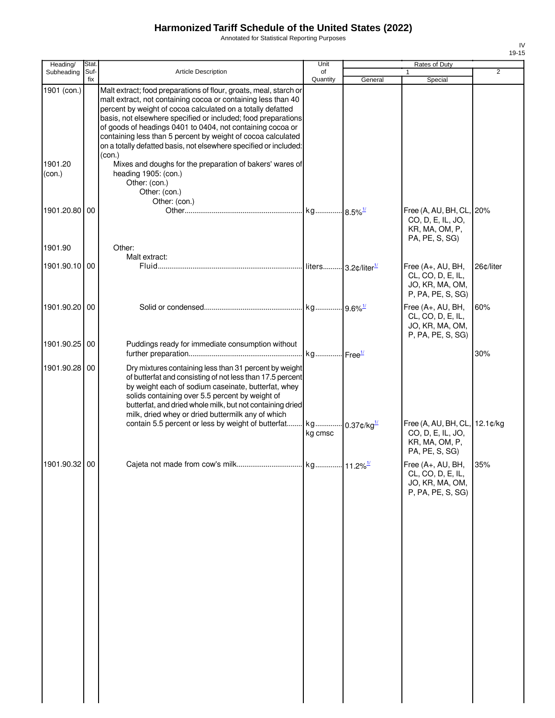Annotated for Statistical Reporting Purposes

| Heading/          | <b>Stat</b> |                                                                                                                                                                                                                                                                                                                                                                                                                                                                       | Unit            |                                      | Rates of Duty                                                                          |                |
|-------------------|-------------|-----------------------------------------------------------------------------------------------------------------------------------------------------------------------------------------------------------------------------------------------------------------------------------------------------------------------------------------------------------------------------------------------------------------------------------------------------------------------|-----------------|--------------------------------------|----------------------------------------------------------------------------------------|----------------|
| Subheading        | Suf-        | Article Description                                                                                                                                                                                                                                                                                                                                                                                                                                                   | of              |                                      |                                                                                        | $\overline{2}$ |
|                   | fix         |                                                                                                                                                                                                                                                                                                                                                                                                                                                                       | Quantity        | General                              | Special                                                                                |                |
| 1901 (con.)       |             | Malt extract; food preparations of flour, groats, meal, starch or<br>malt extract, not containing cocoa or containing less than 40<br>percent by weight of cocoa calculated on a totally defatted<br>basis, not elsewhere specified or included; food preparations<br>of goods of headings 0401 to 0404, not containing cocoa or<br>containing less than 5 percent by weight of cocoa calculated<br>on a totally defatted basis, not elsewhere specified or included: |                 |                                      |                                                                                        |                |
|                   |             | (con.)                                                                                                                                                                                                                                                                                                                                                                                                                                                                |                 |                                      |                                                                                        |                |
| 1901.20<br>(con.) |             | Mixes and doughs for the preparation of bakers' wares of<br>heading 1905: (con.)<br>Other: (con.)<br>Other: (con.)<br>Other: (con.)                                                                                                                                                                                                                                                                                                                                   |                 |                                      |                                                                                        |                |
| 1901.20.80        | 00          |                                                                                                                                                                                                                                                                                                                                                                                                                                                                       |                 |                                      | Free (A, AU, BH, CL, 20%<br>CO, D, E, IL, JO,<br>KR, MA, OM, P,<br>PA, PE, S, SG)      |                |
| 1901.90           |             | Other:                                                                                                                                                                                                                                                                                                                                                                                                                                                                |                 |                                      |                                                                                        |                |
|                   |             | Malt extract:                                                                                                                                                                                                                                                                                                                                                                                                                                                         |                 |                                      |                                                                                        |                |
| 1901.90.10        | 00          |                                                                                                                                                                                                                                                                                                                                                                                                                                                                       |                 |                                      | Free (A+, AU, BH,<br>CL, CO, D, E, IL,<br>JO, KR, MA, OM,<br>P, PA, PE, S, SG)         | 26¢/liter      |
| 1901.90.20 00     |             |                                                                                                                                                                                                                                                                                                                                                                                                                                                                       |                 |                                      | Free (A+, AU, BH,<br>CL, CO, D, E, IL,<br>JO, KR, MA, OM,<br>P, PA, PE, S, SG)         | 60%            |
| 1901.90.25 00     |             | Puddings ready for immediate consumption without                                                                                                                                                                                                                                                                                                                                                                                                                      |                 |                                      |                                                                                        | 30%            |
| 1901.90.28 00     |             | Dry mixtures containing less than 31 percent by weight<br>of butterfat and consisting of not less than 17.5 percent<br>by weight each of sodium caseinate, butterfat, whey<br>solids containing over 5.5 percent by weight of<br>butterfat, and dried whole milk, but not containing dried<br>milk, dried whey or dried buttermilk any of which                                                                                                                       |                 |                                      |                                                                                        |                |
|                   |             | contain 5.5 percent or less by weight of butterfat                                                                                                                                                                                                                                                                                                                                                                                                                    | . kg<br>kg cmsc | $\cdot \cdot$ 0.37¢/kg $\frac{1}{2}$ | Free (A, AU, BH, CL, 12.1¢/kg<br>CO, D, E, IL, JO,<br>KR, MA, OM, P,<br>PA, PE, S, SG) |                |
| 1901.90.32 00     |             |                                                                                                                                                                                                                                                                                                                                                                                                                                                                       |                 |                                      | Free (A+, AU, BH,<br>CL, CO, D, E, IL,<br>JO, KR, MA, OM,<br>P, PA, PE, S, SG)         | 35%            |
|                   |             |                                                                                                                                                                                                                                                                                                                                                                                                                                                                       |                 |                                      |                                                                                        |                |
|                   |             |                                                                                                                                                                                                                                                                                                                                                                                                                                                                       |                 |                                      |                                                                                        |                |
|                   |             |                                                                                                                                                                                                                                                                                                                                                                                                                                                                       |                 |                                      |                                                                                        |                |
|                   |             |                                                                                                                                                                                                                                                                                                                                                                                                                                                                       |                 |                                      |                                                                                        |                |
|                   |             |                                                                                                                                                                                                                                                                                                                                                                                                                                                                       |                 |                                      |                                                                                        |                |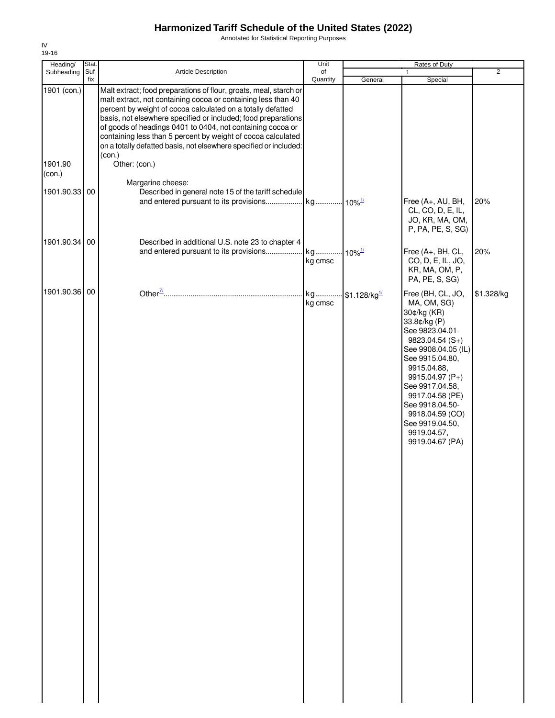Annotated for Statistical Reporting Purposes

| Heading/          | Stat.       |                                                                                                                                                                                                                                                                                                                                                                                                                                                                       | Unit           |                          | Rates of Duty                                                                                                                                                                                                                                                                                                      |                |
|-------------------|-------------|-----------------------------------------------------------------------------------------------------------------------------------------------------------------------------------------------------------------------------------------------------------------------------------------------------------------------------------------------------------------------------------------------------------------------------------------------------------------------|----------------|--------------------------|--------------------------------------------------------------------------------------------------------------------------------------------------------------------------------------------------------------------------------------------------------------------------------------------------------------------|----------------|
| Subheading        | Suf-<br>fix | Article Description                                                                                                                                                                                                                                                                                                                                                                                                                                                   | of<br>Quantity |                          | 1<br>Special                                                                                                                                                                                                                                                                                                       | $\overline{2}$ |
| 1901 (con.)       |             | Malt extract; food preparations of flour, groats, meal, starch or<br>malt extract, not containing cocoa or containing less than 40<br>percent by weight of cocoa calculated on a totally defatted<br>basis, not elsewhere specified or included; food preparations<br>of goods of headings 0401 to 0404, not containing cocoa or<br>containing less than 5 percent by weight of cocoa calculated<br>on a totally defatted basis, not elsewhere specified or included: |                | General                  |                                                                                                                                                                                                                                                                                                                    |                |
| 1901.90<br>(con.) |             | (con.)<br>Other: (con.)                                                                                                                                                                                                                                                                                                                                                                                                                                               |                |                          |                                                                                                                                                                                                                                                                                                                    |                |
| 1901.90.33 00     |             | Margarine cheese:<br>Described in general note 15 of the tariff schedule                                                                                                                                                                                                                                                                                                                                                                                              |                |                          | Free (A+, AU, BH,<br>CL, CO, D, E, IL,<br>JO, KR, MA, OM,<br>P, PA, PE, S, SG)                                                                                                                                                                                                                                     | 20%            |
| 1901.90.34        | 00          | Described in additional U.S. note 23 to chapter 4                                                                                                                                                                                                                                                                                                                                                                                                                     |                |                          |                                                                                                                                                                                                                                                                                                                    |                |
|                   |             | and entered pursuant to its provisions                                                                                                                                                                                                                                                                                                                                                                                                                                | kg<br>kg cmsc  | $10\%$ <sup>1/</sup>     | Free (A+, BH, CL,<br>CO, D, E, IL, JO,<br>KR, MA, OM, P,<br>PA, PE, S, SG)                                                                                                                                                                                                                                         | 20%            |
| 1901.90.36 00     |             |                                                                                                                                                                                                                                                                                                                                                                                                                                                                       | kg<br>kg cmsc  | \$1.128/kg <sup>1/</sup> | Free (BH, CL, JO,<br>MA, OM, SG)<br>30¢/kg (KR)<br>33.8¢/kg (P)<br>See 9823.04.01-<br>9823.04.54 (S+)<br>See 9908.04.05 (IL)<br>See 9915.04.80,<br>9915.04.88,<br>9915.04.97 (P+)<br>See 9917.04.58,<br>9917.04.58 (PE)<br>See 9918.04.50-<br>9918.04.59 (CO)<br>See 9919.04.50,<br>9919.04.57,<br>9919.04.67 (PA) | \$1.328/kg     |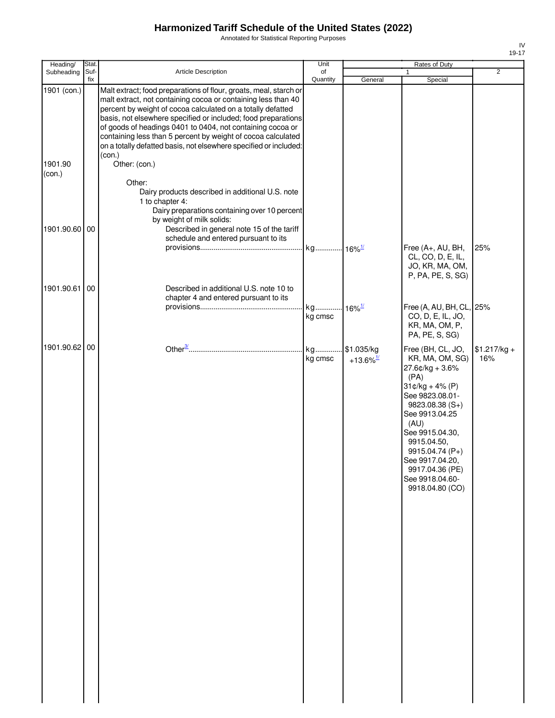Annotated for Statistical Reporting Purposes

| Heading/          | Stat. |                                                                                                                                                                                                                                                                                                                                                                                                                                                                       | Unit                 |                                    | Rates of Duty                                                                                                                                                                                                                                                                          |                      |
|-------------------|-------|-----------------------------------------------------------------------------------------------------------------------------------------------------------------------------------------------------------------------------------------------------------------------------------------------------------------------------------------------------------------------------------------------------------------------------------------------------------------------|----------------------|------------------------------------|----------------------------------------------------------------------------------------------------------------------------------------------------------------------------------------------------------------------------------------------------------------------------------------|----------------------|
| Subheading        | Suf-  | Article Description                                                                                                                                                                                                                                                                                                                                                                                                                                                   | of                   |                                    |                                                                                                                                                                                                                                                                                        | $\overline{2}$       |
| 1901 (con.)       | fix   | Malt extract; food preparations of flour, groats, meal, starch or<br>malt extract, not containing cocoa or containing less than 40<br>percent by weight of cocoa calculated on a totally defatted<br>basis, not elsewhere specified or included; food preparations<br>of goods of headings 0401 to 0404, not containing cocoa or<br>containing less than 5 percent by weight of cocoa calculated<br>on a totally defatted basis, not elsewhere specified or included: | Quantity             | General                            | Special                                                                                                                                                                                                                                                                                |                      |
| 1901.90<br>(con.) |       | (con.)<br>Other: (con.)                                                                                                                                                                                                                                                                                                                                                                                                                                               |                      |                                    |                                                                                                                                                                                                                                                                                        |                      |
| 1901.90.60 00     |       | Other:<br>Dairy products described in additional U.S. note<br>1 to chapter 4:<br>Dairy preparations containing over 10 percent<br>by weight of milk solids:<br>Described in general note 15 of the tariff                                                                                                                                                                                                                                                             |                      |                                    |                                                                                                                                                                                                                                                                                        |                      |
|                   |       | schedule and entered pursuant to its                                                                                                                                                                                                                                                                                                                                                                                                                                  |                      |                                    |                                                                                                                                                                                                                                                                                        |                      |
|                   |       |                                                                                                                                                                                                                                                                                                                                                                                                                                                                       | kg 16% <sup>1/</sup> |                                    | Free (A+, AU, BH,<br>CL, CO, D, E, IL,<br>JO, KR, MA, OM,<br>P, PA, PE, S, SG)                                                                                                                                                                                                         | 25%                  |
| 1901.90.61 00     |       | Described in additional U.S. note 10 to<br>chapter 4 and entered pursuant to its                                                                                                                                                                                                                                                                                                                                                                                      |                      |                                    |                                                                                                                                                                                                                                                                                        |                      |
|                   |       |                                                                                                                                                                                                                                                                                                                                                                                                                                                                       | kg<br>kg cmsc        | $16\%$ <sup>1/</sup>               | Free (A, AU, BH, CL, 25%<br>CO, D, E, IL, JO,<br>KR, MA, OM, P,<br>PA, PE, S, SG)                                                                                                                                                                                                      |                      |
| 1901.90.62 00     |       |                                                                                                                                                                                                                                                                                                                                                                                                                                                                       | kg<br>kg cmsc        | \$1.035/kg<br>+13.6% $\frac{1}{2}$ | Free (BH, CL, JO,<br>KR, MA, OM, SG)<br>27.6¢/kg + 3.6%<br>(PA)<br>$31¢/kg + 4% (P)$<br>See 9823.08.01-<br>$9823.08.38(S+)$<br>See 9913.04.25<br>(AU)<br>See 9915.04.30,<br>9915.04.50,<br>9915.04.74 (P+)<br>See 9917.04.20,<br>9917.04.36 (PE)<br>See 9918.04.60-<br>9918.04.80 (CO) | $$1.217/kg +$<br>16% |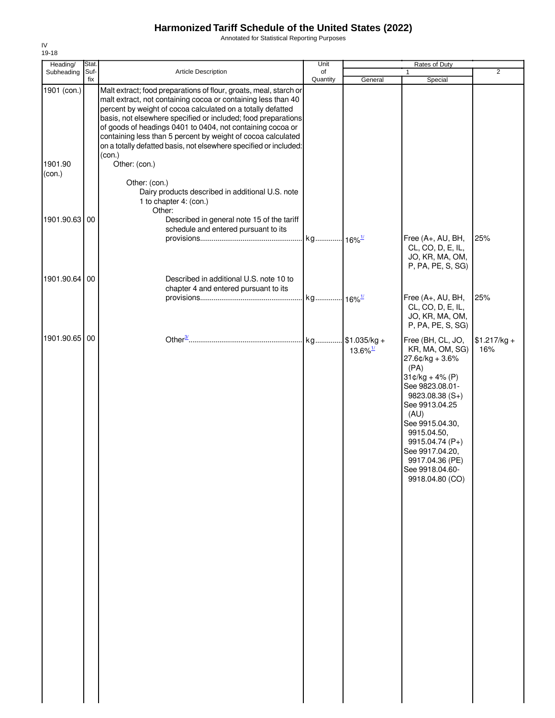Annotated for Statistical Reporting Purposes

| Heading/               | Stat.       |                                                                                                                                                                                                                                                                                                                                                                                                                                                                                                  | Unit                 |                        | Rates of Duty                                                                                                                                                                                                                                                                             |                      |
|------------------------|-------------|--------------------------------------------------------------------------------------------------------------------------------------------------------------------------------------------------------------------------------------------------------------------------------------------------------------------------------------------------------------------------------------------------------------------------------------------------------------------------------------------------|----------------------|------------------------|-------------------------------------------------------------------------------------------------------------------------------------------------------------------------------------------------------------------------------------------------------------------------------------------|----------------------|
| Subheading             | Suf-<br>fix | Article Description                                                                                                                                                                                                                                                                                                                                                                                                                                                                              | of<br>Quantity       | General                | $\mathbf{1}$<br>Special                                                                                                                                                                                                                                                                   | $\overline{2}$       |
| 1901 (con.)<br>1901.90 |             | Malt extract; food preparations of flour, groats, meal, starch or<br>malt extract, not containing cocoa or containing less than 40<br>percent by weight of cocoa calculated on a totally defatted<br>basis, not elsewhere specified or included; food preparations<br>of goods of headings 0401 to 0404, not containing cocoa or<br>containing less than 5 percent by weight of cocoa calculated<br>on a totally defatted basis, not elsewhere specified or included:<br>(con.)<br>Other: (con.) |                      |                        |                                                                                                                                                                                                                                                                                           |                      |
| (con.)                 |             | Other: (con.)<br>Dairy products described in additional U.S. note<br>1 to chapter 4: (con.)<br>Other:                                                                                                                                                                                                                                                                                                                                                                                            |                      |                        |                                                                                                                                                                                                                                                                                           |                      |
| 1901.90.63 00          |             | Described in general note 15 of the tariff<br>schedule and entered pursuant to its                                                                                                                                                                                                                                                                                                                                                                                                               | kg 16% <sup>1/</sup> |                        | Free (A+, AU, BH,<br>CL, CO, D, E, IL,                                                                                                                                                                                                                                                    | 25%                  |
| 1901.90.64 00          |             | Described in additional U.S. note 10 to                                                                                                                                                                                                                                                                                                                                                                                                                                                          |                      |                        | JO, KR, MA, OM,<br>P, PA, PE, S, SG)                                                                                                                                                                                                                                                      |                      |
|                        |             | chapter 4 and entered pursuant to its                                                                                                                                                                                                                                                                                                                                                                                                                                                            |                      |                        | Free (A+, AU, BH,<br>CL, CO, D, E, IL,<br>JO, KR, MA, OM,<br>P, PA, PE, S, SG)                                                                                                                                                                                                            | 25%                  |
| 1901.90.65 00          |             |                                                                                                                                                                                                                                                                                                                                                                                                                                                                                                  |                      | $13.6\%$ <sup>1/</sup> | Free (BH, CL, JO,<br>KR, MA, OM, SG)<br>$27.6$ ¢/kg + 3.6%<br>(PA)<br>$31¢/kg + 4% (P)$<br>See 9823.08.01-<br>$9823.08.38(S+)$<br>See 9913.04.25<br>(AU)<br>See 9915.04.30,<br>9915.04.50,<br>9915.04.74 (P+)<br>See 9917.04.20,<br>9917.04.36 (PE)<br>See 9918.04.60-<br>9918.04.80 (CO) | $$1.217/kg +$<br>16% |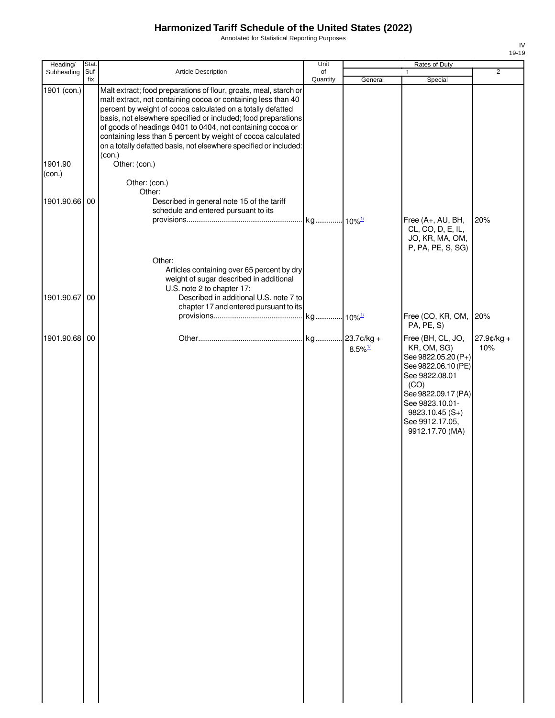Annotated for Statistical Reporting Purposes

| Heading/      | Stat. |                                                                                                                             | Unit     |                       | Rates of Duty                          |                |
|---------------|-------|-----------------------------------------------------------------------------------------------------------------------------|----------|-----------------------|----------------------------------------|----------------|
| Subheading    | Suf-  | Article Description                                                                                                         | of       |                       |                                        | $\overline{2}$ |
| 1901 (con.)   | fix   | Malt extract; food preparations of flour, groats, meal, starch or                                                           | Quantity | General               | Special                                |                |
|               |       | malt extract, not containing cocoa or containing less than 40                                                               |          |                       |                                        |                |
|               |       | percent by weight of cocoa calculated on a totally defatted                                                                 |          |                       |                                        |                |
|               |       | basis, not elsewhere specified or included; food preparations<br>of goods of headings 0401 to 0404, not containing cocoa or |          |                       |                                        |                |
|               |       | containing less than 5 percent by weight of cocoa calculated                                                                |          |                       |                                        |                |
|               |       | on a totally defatted basis, not elsewhere specified or included:                                                           |          |                       |                                        |                |
| 1901.90       |       | (con.)<br>Other: (con.)                                                                                                     |          |                       |                                        |                |
| (con.)        |       |                                                                                                                             |          |                       |                                        |                |
|               |       | Other: (con.)                                                                                                               |          |                       |                                        |                |
| 1901.90.66    | 00    | Other:<br>Described in general note 15 of the tariff                                                                        |          |                       |                                        |                |
|               |       | schedule and entered pursuant to its                                                                                        |          |                       |                                        |                |
|               |       |                                                                                                                             |          |                       | Free (A+, AU, BH,                      | 20%            |
|               |       |                                                                                                                             |          |                       | CL, CO, D, E, IL,                      |                |
|               |       |                                                                                                                             |          |                       | JO, KR, MA, OM,<br>P, PA, PE, S, SG)   |                |
|               |       | Other:                                                                                                                      |          |                       |                                        |                |
|               |       | Articles containing over 65 percent by dry                                                                                  |          |                       |                                        |                |
|               |       | weight of sugar described in additional                                                                                     |          |                       |                                        |                |
|               | 00    | U.S. note 2 to chapter 17:<br>Described in additional U.S. note 7 to                                                        |          |                       |                                        |                |
| 1901.90.67    |       | chapter 17 and entered pursuant to its                                                                                      |          |                       |                                        |                |
|               |       |                                                                                                                             |          |                       | Free (CO, KR, OM, 20%                  |                |
|               |       |                                                                                                                             |          |                       | PA, PE, S)                             |                |
| 1901.90.68 00 |       |                                                                                                                             |          |                       | Free (BH, CL, JO,                      | 27.9¢/kg +     |
|               |       |                                                                                                                             |          | $8.5\%$ <sup>1/</sup> | KR, OM, SG)<br>See 9822.05.20 (P+)     | 10%            |
|               |       |                                                                                                                             |          |                       | See 9822.06.10 (PE)                    |                |
|               |       |                                                                                                                             |          |                       | See 9822.08.01                         |                |
|               |       |                                                                                                                             |          |                       | (CO)                                   |                |
|               |       |                                                                                                                             |          |                       | See 9822.09.17 (PA)<br>See 9823.10.01- |                |
|               |       |                                                                                                                             |          |                       | $9823.10.45(S+)$                       |                |
|               |       |                                                                                                                             |          |                       | See 9912.17.05,                        |                |
|               |       |                                                                                                                             |          |                       | 9912.17.70 (MA)                        |                |
|               |       |                                                                                                                             |          |                       |                                        |                |
|               |       |                                                                                                                             |          |                       |                                        |                |
|               |       |                                                                                                                             |          |                       |                                        |                |
|               |       |                                                                                                                             |          |                       |                                        |                |
|               |       |                                                                                                                             |          |                       |                                        |                |
|               |       |                                                                                                                             |          |                       |                                        |                |
|               |       |                                                                                                                             |          |                       |                                        |                |
|               |       |                                                                                                                             |          |                       |                                        |                |
|               |       |                                                                                                                             |          |                       |                                        |                |
|               |       |                                                                                                                             |          |                       |                                        |                |
|               |       |                                                                                                                             |          |                       |                                        |                |
|               |       |                                                                                                                             |          |                       |                                        |                |
|               |       |                                                                                                                             |          |                       |                                        |                |
|               |       |                                                                                                                             |          |                       |                                        |                |
|               |       |                                                                                                                             |          |                       |                                        |                |
|               |       |                                                                                                                             |          |                       |                                        |                |
|               |       |                                                                                                                             |          |                       |                                        |                |
|               |       |                                                                                                                             |          |                       |                                        |                |
|               |       |                                                                                                                             |          |                       |                                        |                |
|               |       |                                                                                                                             |          |                       |                                        |                |
|               |       |                                                                                                                             |          |                       |                                        |                |
|               |       |                                                                                                                             |          |                       |                                        |                |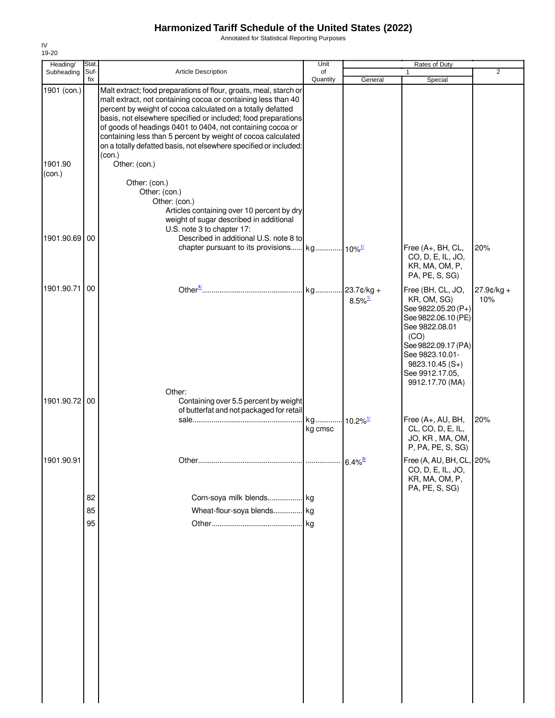Annotated for Statistical Reporting Purposes

| Heading/          | Stat.          |                                                                                                                                                                                                                                                                                                                                                                                                                                                                                 | Unit           |                        | Rates of Duty                                                                                                                                                                                                |                   |
|-------------------|----------------|---------------------------------------------------------------------------------------------------------------------------------------------------------------------------------------------------------------------------------------------------------------------------------------------------------------------------------------------------------------------------------------------------------------------------------------------------------------------------------|----------------|------------------------|--------------------------------------------------------------------------------------------------------------------------------------------------------------------------------------------------------------|-------------------|
| Subheading        | Suf-<br>fix    | Article Description                                                                                                                                                                                                                                                                                                                                                                                                                                                             | of<br>Quantity | General                | 1<br>Special                                                                                                                                                                                                 | $\overline{2}$    |
| 1901 (con.)       |                | Malt extract; food preparations of flour, groats, meal, starch or<br>malt extract, not containing cocoa or containing less than 40<br>percent by weight of cocoa calculated on a totally defatted<br>basis, not elsewhere specified or included; food preparations<br>of goods of headings 0401 to 0404, not containing cocoa or<br>containing less than 5 percent by weight of cocoa calculated<br>on a totally defatted basis, not elsewhere specified or included:<br>(con.) |                |                        |                                                                                                                                                                                                              |                   |
| 1901.90<br>(con.) |                | Other: (con.)<br>Other: (con.)<br>Other: (con.)<br>Other: (con.)<br>Articles containing over 10 percent by dry<br>weight of sugar described in additional<br>U.S. note 3 to chapter 17:                                                                                                                                                                                                                                                                                         |                |                        |                                                                                                                                                                                                              |                   |
| 1901.90.69        | 00             | Described in additional U.S. note 8 to                                                                                                                                                                                                                                                                                                                                                                                                                                          |                |                        | Free (A+, BH, CL,<br>CO, D, E, IL, JO,<br>KR, MA, OM, P,<br>PA, PE, S, SG)                                                                                                                                   | 20%               |
| 1901.90.71        | 00             |                                                                                                                                                                                                                                                                                                                                                                                                                                                                                 |                | $8.5\%$ <sup>1/</sup>  | Free (BH, CL, JO,<br>KR, OM, SG)<br>See 9822.05.20 (P+)<br>See 9822.06.10 (PE)<br>See 9822.08.01<br>(CO)<br>See 9822.09.17 (PA)<br>See 9823.10.01-<br>$9823.10.45(S+)$<br>See 9912.17.05,<br>9912.17.70 (MA) | 27.9¢/kg +<br>10% |
| 1901.90.72 00     |                | Other:<br>Containing over 5.5 percent by weight<br>of butterfat and not packaged for retail                                                                                                                                                                                                                                                                                                                                                                                     | kg<br>kg cmsc  | $10.2\%$ <sup>1/</sup> | Free (A+, AU, BH,<br>CL, CO, D, E, IL,<br>JO, KR, MA, OM,                                                                                                                                                    | 20%               |
| 1901.90.91        |                |                                                                                                                                                                                                                                                                                                                                                                                                                                                                                 |                | $6.4\%$ <sup>8/</sup>  | P, PA, PE, S, SG)<br>Free (A, AU, BH, CL, 20%<br>CO, D, E, IL, JO,<br>KR, MA, OM, P,                                                                                                                         |                   |
|                   | 82<br>85<br>95 | Corn-soya milk blends kg<br>Wheat-flour-soya blends                                                                                                                                                                                                                                                                                                                                                                                                                             | kg<br>kg       |                        | PA, PE, S, SG)                                                                                                                                                                                               |                   |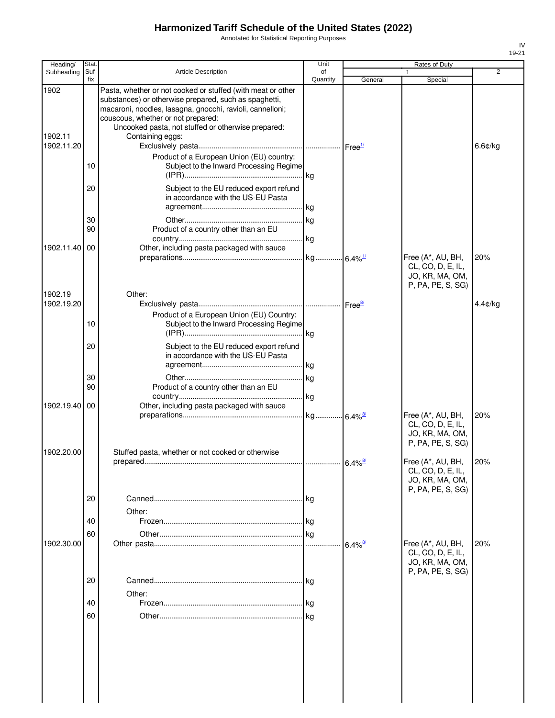Annotated for Statistical Reporting Purposes

| Heading/                      | <b>Stat</b> |                                                                                                                                                                                                                                                                                                   | Unit           |                       | Rates of Duty                                                                  |         |
|-------------------------------|-------------|---------------------------------------------------------------------------------------------------------------------------------------------------------------------------------------------------------------------------------------------------------------------------------------------------|----------------|-----------------------|--------------------------------------------------------------------------------|---------|
| Subheading                    | Suf-<br>fix | <b>Article Description</b>                                                                                                                                                                                                                                                                        | of<br>Quantity | General               | 1<br>Special                                                                   | 2       |
| 1902<br>1902.11<br>1902.11.20 |             | Pasta, whether or not cooked or stuffed (with meat or other<br>substances) or otherwise prepared, such as spaghetti,<br>macaroni, noodles, lasagna, gnocchi, ravioli, cannelloni;<br>couscous, whether or not prepared:<br>Uncooked pasta, not stuffed or otherwise prepared:<br>Containing eggs: |                |                       |                                                                                | 6.6¢/kg |
|                               | 10          | Product of a European Union (EU) country:<br>Subject to the Inward Processing Regime                                                                                                                                                                                                              |                |                       |                                                                                |         |
|                               | 20          | Subject to the EU reduced export refund<br>in accordance with the US-EU Pasta                                                                                                                                                                                                                     |                |                       |                                                                                |         |
|                               | 30<br>90    | Product of a country other than an EU                                                                                                                                                                                                                                                             |                |                       |                                                                                |         |
| 1902.11.40 00                 |             | Other, including pasta packaged with sauce                                                                                                                                                                                                                                                        |                |                       | Free (A*, AU, BH,<br>CL, CO, D, E, IL,<br>JO, KR, MA, OM,<br>P, PA, PE, S, SG) | 20%     |
| 1902.19<br>1902.19.20         |             | Other:<br>Product of a European Union (EU) Country:                                                                                                                                                                                                                                               |                |                       |                                                                                | 4.4¢/kg |
|                               | 10<br>20    | Subject to the Inward Processing Regime<br>Subject to the EU reduced export refund<br>in accordance with the US-EU Pasta                                                                                                                                                                          |                |                       |                                                                                |         |
|                               | 30<br>90    | Product of a country other than an EU                                                                                                                                                                                                                                                             |                |                       |                                                                                |         |
| 1902.19.40                    | 00          | Other, including pasta packaged with sauce                                                                                                                                                                                                                                                        |                |                       | Free (A*, AU, BH,<br>CL, CO, D, E, IL,<br>JO, KR, MA, OM,<br>P, PA, PE, S, SG) | 20%     |
| 1902.20.00                    |             | Stuffed pasta, whether or not cooked or otherwise                                                                                                                                                                                                                                                 |                | $6.4\%$ <sup>8/</sup> | Free (A*, AU, BH,<br>CL, CO, D, E, IL,<br>JO, KR, MA, OM,                      | 20%     |
|                               | 20<br>40    | Other:                                                                                                                                                                                                                                                                                            |                |                       | P, PA, PE, S, SG)                                                              |         |
| 1902.30.00                    | 60          |                                                                                                                                                                                                                                                                                                   |                | $6.4\%$ <sup>8/</sup> | Free (A*, AU, BH,<br>CL, CO, D, E, IL,<br>JO, KR, MA, OM,                      | 20%     |
|                               | 20          | Other:                                                                                                                                                                                                                                                                                            |                |                       | P, PA, PE, S, SG)                                                              |         |
|                               | 40<br>60    |                                                                                                                                                                                                                                                                                                   |                |                       |                                                                                |         |
|                               |             |                                                                                                                                                                                                                                                                                                   |                |                       |                                                                                |         |
|                               |             |                                                                                                                                                                                                                                                                                                   |                |                       |                                                                                |         |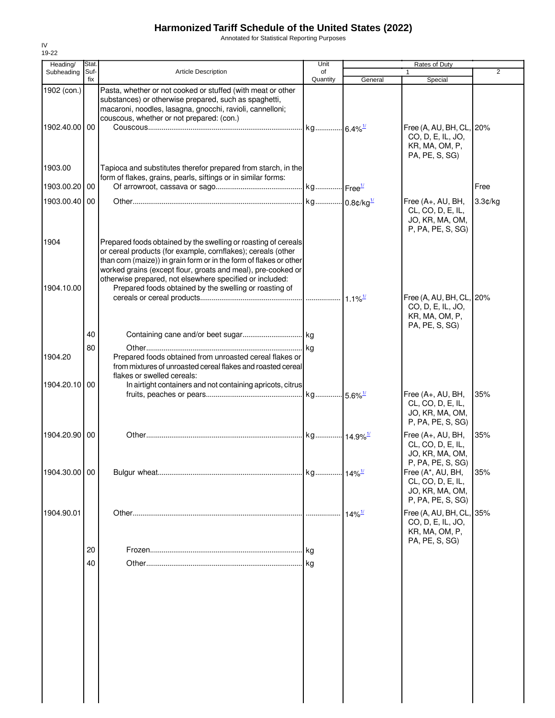Annotated for Statistical Reporting Purposes

| Heading/                     | Stat.       |                                                                                                                                                                                                                                                                                                                                                                                            | Unit                     |                      | Rates of Duty                                                                     |                |
|------------------------------|-------------|--------------------------------------------------------------------------------------------------------------------------------------------------------------------------------------------------------------------------------------------------------------------------------------------------------------------------------------------------------------------------------------------|--------------------------|----------------------|-----------------------------------------------------------------------------------|----------------|
| Subheading                   | Suf-<br>fix | <b>Article Description</b>                                                                                                                                                                                                                                                                                                                                                                 | of<br>Quantity           | General              | 1<br>Special                                                                      | $\overline{2}$ |
| 1902 (con.)<br>1902.40.00 00 |             | Pasta, whether or not cooked or stuffed (with meat or other<br>substances) or otherwise prepared, such as spaghetti,<br>macaroni, noodles, lasagna, gnocchi, ravioli, cannelloni;<br>couscous, whether or not prepared: (con.)                                                                                                                                                             |                          |                      | Free (A, AU, BH, CL, 20%                                                          |                |
| 1903.00                      |             | Tapioca and substitutes therefor prepared from starch, in the                                                                                                                                                                                                                                                                                                                              |                          |                      | CO, D, E, IL, JO,<br>KR, MA, OM, P,<br>PA, PE, S, SG)                             |                |
| 1903.00.20 00                |             | form of flakes, grains, pearls, siftings or in similar forms:                                                                                                                                                                                                                                                                                                                              | kg Free <sup>1/</sup>    |                      |                                                                                   | Free           |
| 1903.00.40                   | 00          |                                                                                                                                                                                                                                                                                                                                                                                            | kg 0.8¢/kg <sup>1/</sup> |                      | Free (A+, AU, BH,<br>CL, CO, D, E, IL,<br>JO, KR, MA, OM,<br>P, PA, PE, S, SG)    | 3.3¢/kg        |
| 1904<br>1904.10.00           |             | Prepared foods obtained by the swelling or roasting of cereals<br>or cereal products (for example, cornflakes); cereals (other<br>than corn (maize)) in grain form or in the form of flakes or other<br>worked grains (except flour, groats and meal), pre-cooked or<br>otherwise prepared, not elsewhere specified or included:<br>Prepared foods obtained by the swelling or roasting of |                          |                      | Free (A, AU, BH, CL, 20%                                                          |                |
|                              | 40          |                                                                                                                                                                                                                                                                                                                                                                                            |                          |                      | CO, D, E, IL, JO,<br>KR, MA, OM, P,<br>PA, PE, S, SG)                             |                |
| 1904.20                      | 80          | Prepared foods obtained from unroasted cereal flakes or<br>from mixtures of unroasted cereal flakes and roasted cereal<br>flakes or swelled cereals:                                                                                                                                                                                                                                       |                          |                      |                                                                                   |                |
| 1904.20.10                   | 00          | In airtight containers and not containing apricots, citrus                                                                                                                                                                                                                                                                                                                                 |                          |                      | Free (A+, AU, BH,<br>CL, CO, D, E, IL,<br>JO, KR, MA, OM,<br>P, PA, PE, S, SG)    | 35%            |
| 1904.20.90 00                |             |                                                                                                                                                                                                                                                                                                                                                                                            |                          |                      | Free (A+, AU, BH,<br>CL, CO, D, E, IL,<br>JO, KR, MA, OM,<br>P, PA, PE, S, SG)    | 35%            |
| 1904.30.00 00                |             |                                                                                                                                                                                                                                                                                                                                                                                            | kg 14% <sup>1/</sup>     |                      | Free (A*, AU, BH,<br>CL, CO, D, E, IL,<br>JO, KR, MA, OM,<br>P, PA, PE, S, SG)    | 35%            |
| 1904.90.01                   |             |                                                                                                                                                                                                                                                                                                                                                                                            |                          | $14\%$ <sup>1/</sup> | Free (A, AU, BH, CL, 35%<br>CO, D, E, IL, JO,<br>KR, MA, OM, P,<br>PA, PE, S, SG) |                |
|                              | 20<br>40    |                                                                                                                                                                                                                                                                                                                                                                                            | l kg<br>. I ka           |                      |                                                                                   |                |
|                              |             |                                                                                                                                                                                                                                                                                                                                                                                            |                          |                      |                                                                                   |                |
|                              |             |                                                                                                                                                                                                                                                                                                                                                                                            |                          |                      |                                                                                   |                |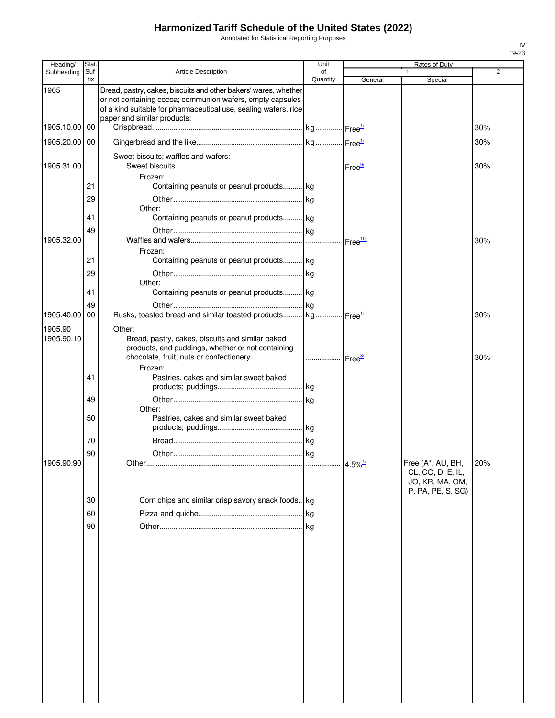Annotated for Statistical Reporting Purposes

| Heading/              | Stat.       |                                                                                                                                                                                                                                | Unit           |                       | Rates of Duty                                                                  |     |
|-----------------------|-------------|--------------------------------------------------------------------------------------------------------------------------------------------------------------------------------------------------------------------------------|----------------|-----------------------|--------------------------------------------------------------------------------|-----|
| Subheading            | Suf-<br>fix | <b>Article Description</b>                                                                                                                                                                                                     | of<br>Quantity | General               | 1<br>Special                                                                   | 2   |
| 1905                  |             | Bread, pastry, cakes, biscuits and other bakers' wares, whether<br>or not containing cocoa; communion wafers, empty capsules<br>of a kind suitable for pharmaceutical use, sealing wafers, rice<br>paper and similar products: |                |                       |                                                                                |     |
| 1905.10.00            | 00          |                                                                                                                                                                                                                                |                |                       |                                                                                | 30% |
| 1905.20.00            | 00          |                                                                                                                                                                                                                                |                |                       |                                                                                | 30% |
| 1905.31.00            |             | Sweet biscuits; waffles and wafers:<br>Frozen:                                                                                                                                                                                 |                |                       |                                                                                | 30% |
|                       | 21          | Containing peanuts or peanut products kg                                                                                                                                                                                       |                |                       |                                                                                |     |
|                       | 29          |                                                                                                                                                                                                                                |                |                       |                                                                                |     |
|                       | 41          | Other:<br>Containing peanuts or peanut products kg                                                                                                                                                                             |                |                       |                                                                                |     |
|                       | 49          |                                                                                                                                                                                                                                |                |                       |                                                                                |     |
| 1905.32.00            |             | Frozen:                                                                                                                                                                                                                        |                |                       |                                                                                | 30% |
|                       | 21          | Containing peanuts or peanut products kg                                                                                                                                                                                       |                |                       |                                                                                |     |
|                       | 29          | Other:                                                                                                                                                                                                                         |                |                       |                                                                                |     |
|                       | 41          | Containing peanuts or peanut products kg                                                                                                                                                                                       |                |                       |                                                                                |     |
|                       | 49          |                                                                                                                                                                                                                                |                |                       |                                                                                |     |
| 1905.40.00            | 00          | Rusks, toasted bread and similar toasted products kg Free <sup>14</sup>                                                                                                                                                        |                |                       |                                                                                | 30% |
| 1905.90<br>1905.90.10 |             | Other:<br>Bread, pastry, cakes, biscuits and similar baked<br>products, and puddings, whether or not containing                                                                                                                |                |                       |                                                                                | 30% |
|                       | 41          | Frozen:<br>Pastries, cakes and similar sweet baked                                                                                                                                                                             |                |                       |                                                                                |     |
|                       |             |                                                                                                                                                                                                                                |                |                       |                                                                                |     |
|                       | 49          |                                                                                                                                                                                                                                |                |                       |                                                                                |     |
|                       | 50          | Other:<br>Pastries, cakes and similar sweet baked                                                                                                                                                                              |                |                       |                                                                                |     |
|                       | 70          |                                                                                                                                                                                                                                |                |                       |                                                                                |     |
| 1905.90.90            | 90          |                                                                                                                                                                                                                                |                |                       |                                                                                |     |
|                       |             |                                                                                                                                                                                                                                |                | $4.5\%$ <sup>1/</sup> | Free (A*, AU, BH,<br>CL, CO, D, E, IL,<br>JO, KR, MA, OM,<br>P, PA, PE, S, SG) | 20% |
|                       | 30          | Corn chips and similar crisp savory snack foods. kg                                                                                                                                                                            |                |                       |                                                                                |     |
|                       | 60          |                                                                                                                                                                                                                                |                |                       |                                                                                |     |
|                       | 90          |                                                                                                                                                                                                                                |                |                       |                                                                                |     |
|                       |             |                                                                                                                                                                                                                                |                |                       |                                                                                |     |
|                       |             |                                                                                                                                                                                                                                |                |                       |                                                                                |     |
|                       |             |                                                                                                                                                                                                                                |                |                       |                                                                                |     |
|                       |             |                                                                                                                                                                                                                                |                |                       |                                                                                |     |
|                       |             |                                                                                                                                                                                                                                |                |                       |                                                                                |     |
|                       |             |                                                                                                                                                                                                                                |                |                       |                                                                                |     |
|                       |             |                                                                                                                                                                                                                                |                |                       |                                                                                |     |
|                       |             |                                                                                                                                                                                                                                |                |                       |                                                                                |     |